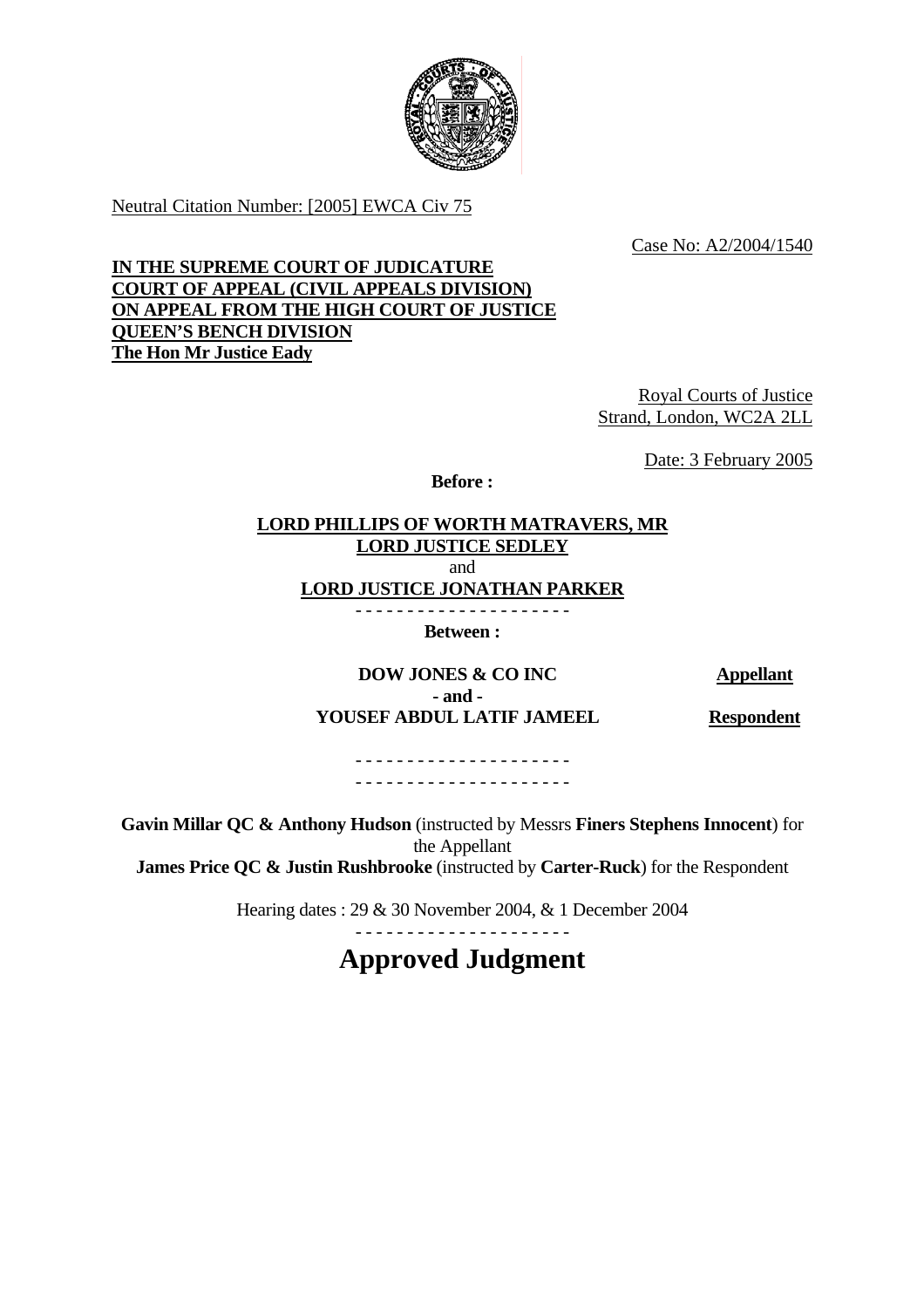

Neutral Citation Number: [2005] EWCA Civ 75

Case No: A2/2004/1540

**IN THE SUPREME COURT OF JUDICATURE COURT OF APPEAL (CIVIL APPEALS DIVISION) ON APPEAL FROM THE HIGH COURT OF JUSTICE QUEEN'S BENCH DIVISION The Hon Mr Justice Eady**

> Royal Courts of Justice Strand, London, WC2A 2LL

> > Date: 3 February 2005

**Before :** 

### **LORD PHILLIPS OF WORTH MATRAVERS, MR LORD JUSTICE SEDLEY** and **LORD JUSTICE JONATHAN PARKER** - - - - - - - - - - - - - - - - - - - - -

**Between :** 

**DOW JONES & CO INC** Appellant  **- and - YOUSEF ABDUL LATIF JAMEEL Respondent**

- - - - - - - - - - - - - - - - - - - - - - - - - - - - - - - - - - - - - - - - - -

**Gavin Millar QC & Anthony Hudson** (instructed by Messrs **Finers Stephens Innocent**) for the Appellant **James Price QC & Justin Rushbrooke** (instructed by **Carter-Ruck**) for the Respondent

Hearing dates : 29 & 30 November 2004, & 1 December 2004

- - - - - - - - - - - - - - - - - - - - -

**Approved Judgment**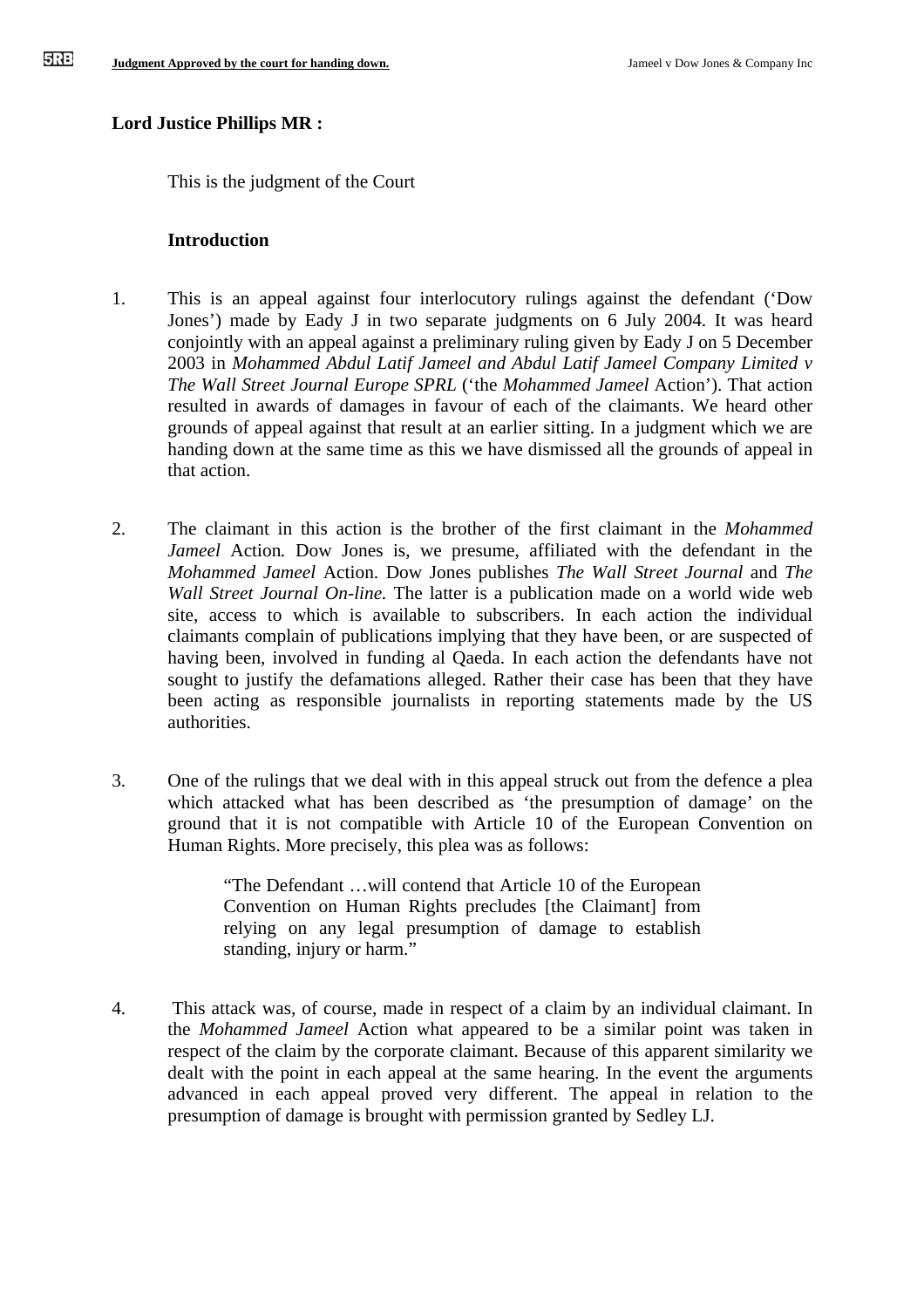# **Lord Justice Phillips MR :**

This is the judgment of the Court

# **Introduction**

- 1. This is an appeal against four interlocutory rulings against the defendant ('Dow Jones') made by Eady J in two separate judgments on 6 July 2004. It was heard conjointly with an appeal against a preliminary ruling given by Eady J on 5 December 2003 in *Mohammed Abdul Latif Jameel and Abdul Latif Jameel Company Limited v The Wall Street Journal Europe SPRL* ('the *Mohammed Jameel* Action'). That action resulted in awards of damages in favour of each of the claimants. We heard other grounds of appeal against that result at an earlier sitting. In a judgment which we are handing down at the same time as this we have dismissed all the grounds of appeal in that action.
- 2. The claimant in this action is the brother of the first claimant in the *Mohammed Jameel* Action. Dow Jones is, we presume, affiliated with the defendant in the *Mohammed Jameel* Action. Dow Jones publishes *The Wall Street Journal* and *The Wall Street Journal On-line.* The latter is a publication made on a world wide web site, access to which is available to subscribers. In each action the individual claimants complain of publications implying that they have been, or are suspected of having been, involved in funding al Qaeda. In each action the defendants have not sought to justify the defamations alleged. Rather their case has been that they have been acting as responsible journalists in reporting statements made by the US authorities.
- 3. One of the rulings that we deal with in this appeal struck out from the defence a plea which attacked what has been described as 'the presumption of damage' on the ground that it is not compatible with Article 10 of the European Convention on Human Rights. More precisely, this plea was as follows:

"The Defendant …will contend that Article 10 of the European Convention on Human Rights precludes [the Claimant] from relying on any legal presumption of damage to establish standing, injury or harm."

4. This attack was, of course, made in respect of a claim by an individual claimant. In the *Mohammed Jameel* Action what appeared to be a similar point was taken in respect of the claim by the corporate claimant. Because of this apparent similarity we dealt with the point in each appeal at the same hearing. In the event the arguments advanced in each appeal proved very different. The appeal in relation to the presumption of damage is brought with permission granted by Sedley LJ.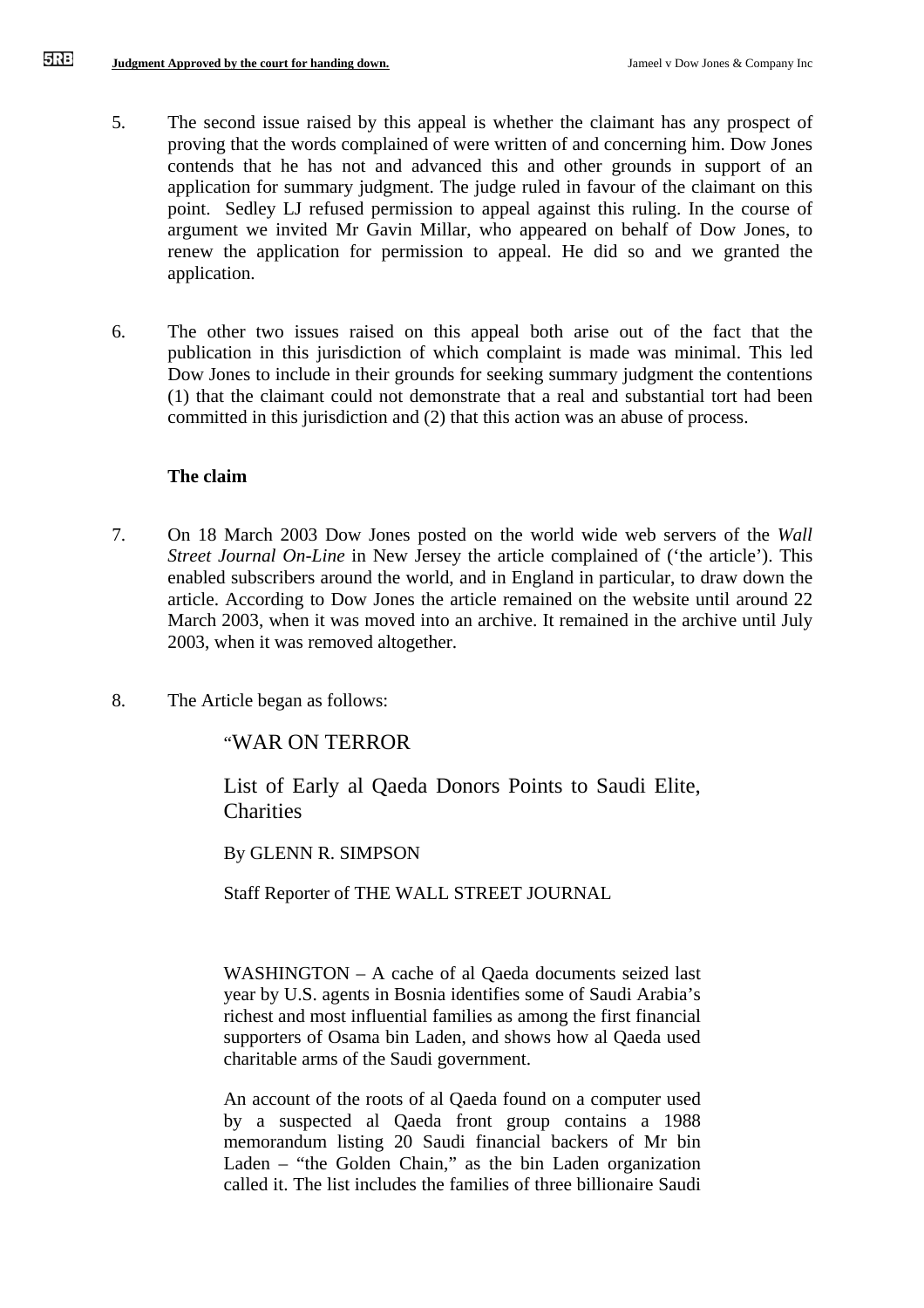- 5. The second issue raised by this appeal is whether the claimant has any prospect of proving that the words complained of were written of and concerning him. Dow Jones contends that he has not and advanced this and other grounds in support of an application for summary judgment. The judge ruled in favour of the claimant on this point. Sedley LJ refused permission to appeal against this ruling. In the course of argument we invited Mr Gavin Millar, who appeared on behalf of Dow Jones, to renew the application for permission to appeal. He did so and we granted the application.
- 6. The other two issues raised on this appeal both arise out of the fact that the publication in this jurisdiction of which complaint is made was minimal. This led Dow Jones to include in their grounds for seeking summary judgment the contentions (1) that the claimant could not demonstrate that a real and substantial tort had been committed in this jurisdiction and (2) that this action was an abuse of process.

### **The claim**

- 7. On 18 March 2003 Dow Jones posted on the world wide web servers of the *Wall Street Journal On-Line* in New Jersey the article complained of ('the article'). This enabled subscribers around the world, and in England in particular, to draw down the article. According to Dow Jones the article remained on the website until around 22 March 2003, when it was moved into an archive. It remained in the archive until July 2003, when it was removed altogether.
- 8. The Article began as follows:

"WAR ON TERROR

List of Early al Qaeda Donors Points to Saudi Elite, Charities

By GLENN R. SIMPSON

Staff Reporter of THE WALL STREET JOURNAL

WASHINGTON – A cache of al Qaeda documents seized last year by U.S. agents in Bosnia identifies some of Saudi Arabia's richest and most influential families as among the first financial supporters of Osama bin Laden, and shows how al Qaeda used charitable arms of the Saudi government.

An account of the roots of al Qaeda found on a computer used by a suspected al Qaeda front group contains a 1988 memorandum listing 20 Saudi financial backers of Mr bin Laden – "the Golden Chain," as the bin Laden organization called it. The list includes the families of three billionaire Saudi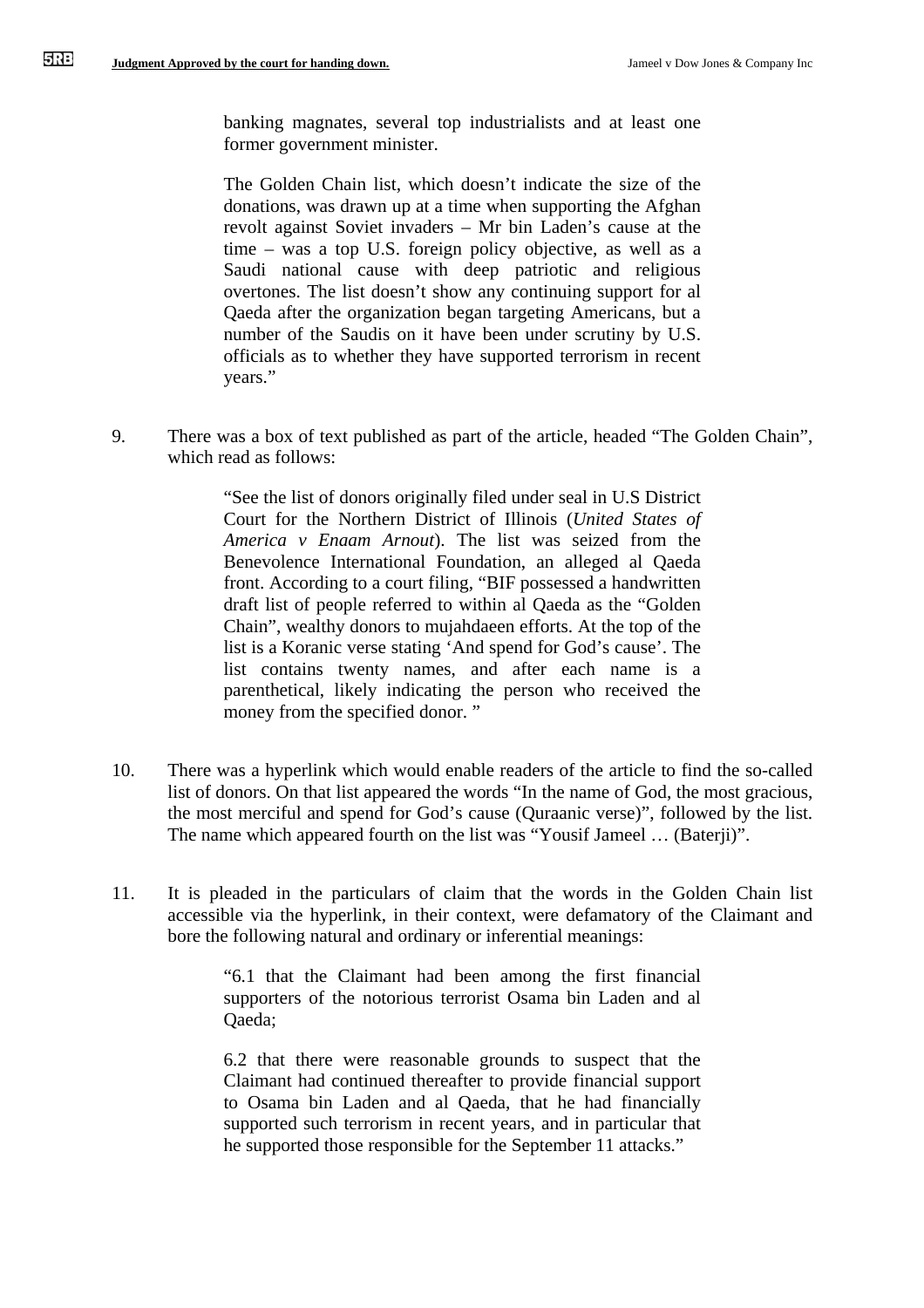banking magnates, several top industrialists and at least one former government minister.

The Golden Chain list, which doesn't indicate the size of the donations, was drawn up at a time when supporting the Afghan revolt against Soviet invaders – Mr bin Laden's cause at the time – was a top U.S. foreign policy objective, as well as a Saudi national cause with deep patriotic and religious overtones. The list doesn't show any continuing support for al Qaeda after the organization began targeting Americans, but a number of the Saudis on it have been under scrutiny by U.S. officials as to whether they have supported terrorism in recent years."

9. There was a box of text published as part of the article, headed "The Golden Chain", which read as follows:

> "See the list of donors originally filed under seal in U.S District Court for the Northern District of Illinois (*United States of America v Enaam Arnout*). The list was seized from the Benevolence International Foundation, an alleged al Qaeda front. According to a court filing, "BIF possessed a handwritten draft list of people referred to within al Qaeda as the "Golden Chain", wealthy donors to mujahdaeen efforts. At the top of the list is a Koranic verse stating 'And spend for God's cause'. The list contains twenty names, and after each name is a parenthetical, likely indicating the person who received the money from the specified donor. "

- 10. There was a hyperlink which would enable readers of the article to find the so-called list of donors. On that list appeared the words "In the name of God, the most gracious, the most merciful and spend for God's cause (Quraanic verse)", followed by the list. The name which appeared fourth on the list was "Yousif Jameel … (Baterji)".
- 11. It is pleaded in the particulars of claim that the words in the Golden Chain list accessible via the hyperlink, in their context, were defamatory of the Claimant and bore the following natural and ordinary or inferential meanings:

"6.1 that the Claimant had been among the first financial supporters of the notorious terrorist Osama bin Laden and al Qaeda;

6.2 that there were reasonable grounds to suspect that the Claimant had continued thereafter to provide financial support to Osama bin Laden and al Qaeda, that he had financially supported such terrorism in recent years, and in particular that he supported those responsible for the September 11 attacks."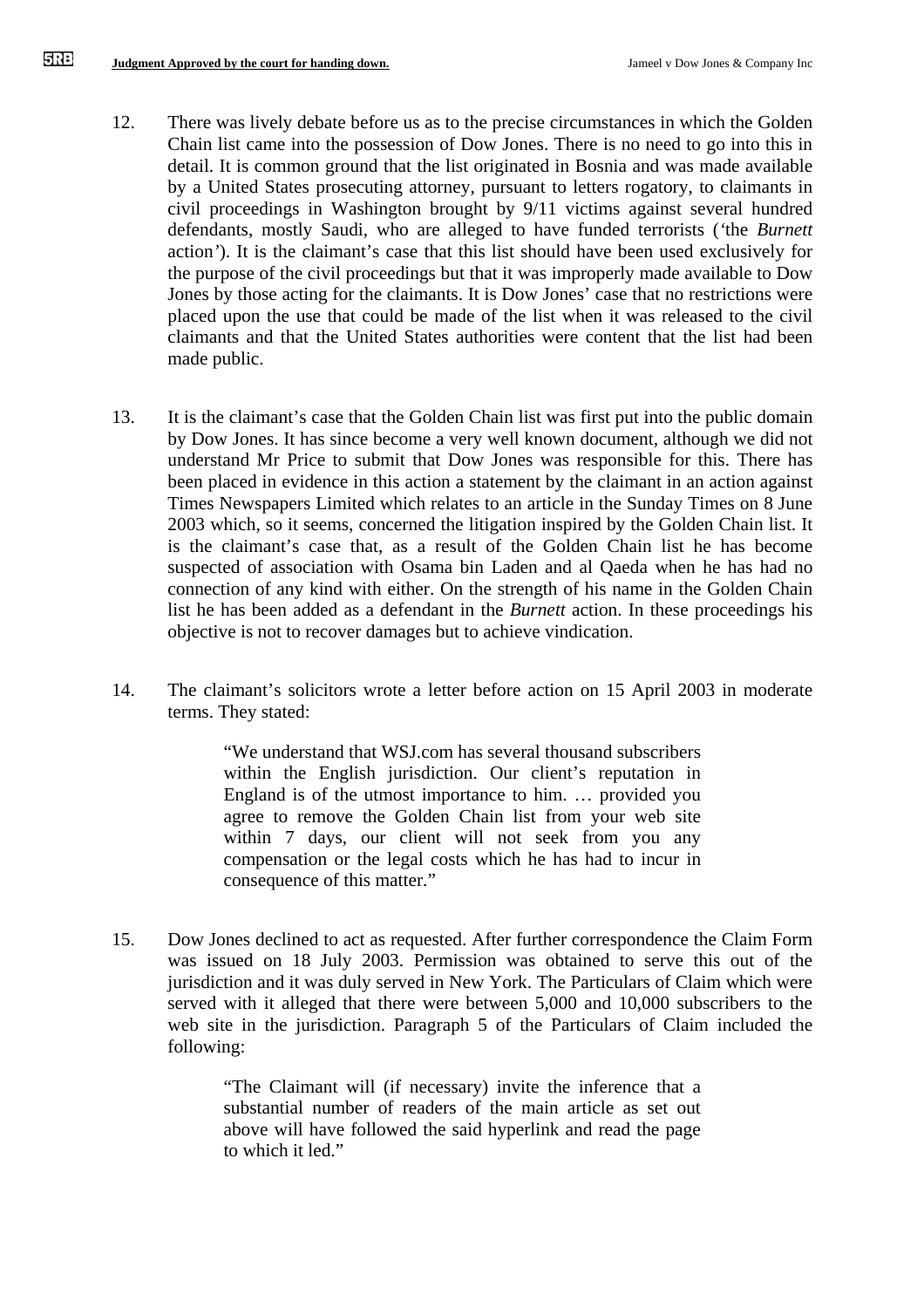- 12. There was lively debate before us as to the precise circumstances in which the Golden Chain list came into the possession of Dow Jones. There is no need to go into this in detail. It is common ground that the list originated in Bosnia and was made available by a United States prosecuting attorney, pursuant to letters rogatory, to claimants in civil proceedings in Washington brought by 9/11 victims against several hundred defendants, mostly Saudi, who are alleged to have funded terrorists (*'*the *Burnett*  action*'*). It is the claimant's case that this list should have been used exclusively for the purpose of the civil proceedings but that it was improperly made available to Dow Jones by those acting for the claimants. It is Dow Jones' case that no restrictions were placed upon the use that could be made of the list when it was released to the civil claimants and that the United States authorities were content that the list had been made public.
- 13. It is the claimant's case that the Golden Chain list was first put into the public domain by Dow Jones. It has since become a very well known document, although we did not understand Mr Price to submit that Dow Jones was responsible for this. There has been placed in evidence in this action a statement by the claimant in an action against Times Newspapers Limited which relates to an article in the Sunday Times on 8 June 2003 which, so it seems, concerned the litigation inspired by the Golden Chain list. It is the claimant's case that, as a result of the Golden Chain list he has become suspected of association with Osama bin Laden and al Qaeda when he has had no connection of any kind with either. On the strength of his name in the Golden Chain list he has been added as a defendant in the *Burnett* action. In these proceedings his objective is not to recover damages but to achieve vindication.
- 14. The claimant's solicitors wrote a letter before action on 15 April 2003 in moderate terms. They stated:

"We understand that WSJ.com has several thousand subscribers within the English jurisdiction. Our client's reputation in England is of the utmost importance to him. … provided you agree to remove the Golden Chain list from your web site within 7 days, our client will not seek from you any compensation or the legal costs which he has had to incur in consequence of this matter."

15. Dow Jones declined to act as requested. After further correspondence the Claim Form was issued on 18 July 2003. Permission was obtained to serve this out of the jurisdiction and it was duly served in New York. The Particulars of Claim which were served with it alleged that there were between 5,000 and 10,000 subscribers to the web site in the jurisdiction. Paragraph 5 of the Particulars of Claim included the following:

> "The Claimant will (if necessary) invite the inference that a substantial number of readers of the main article as set out above will have followed the said hyperlink and read the page to which it led."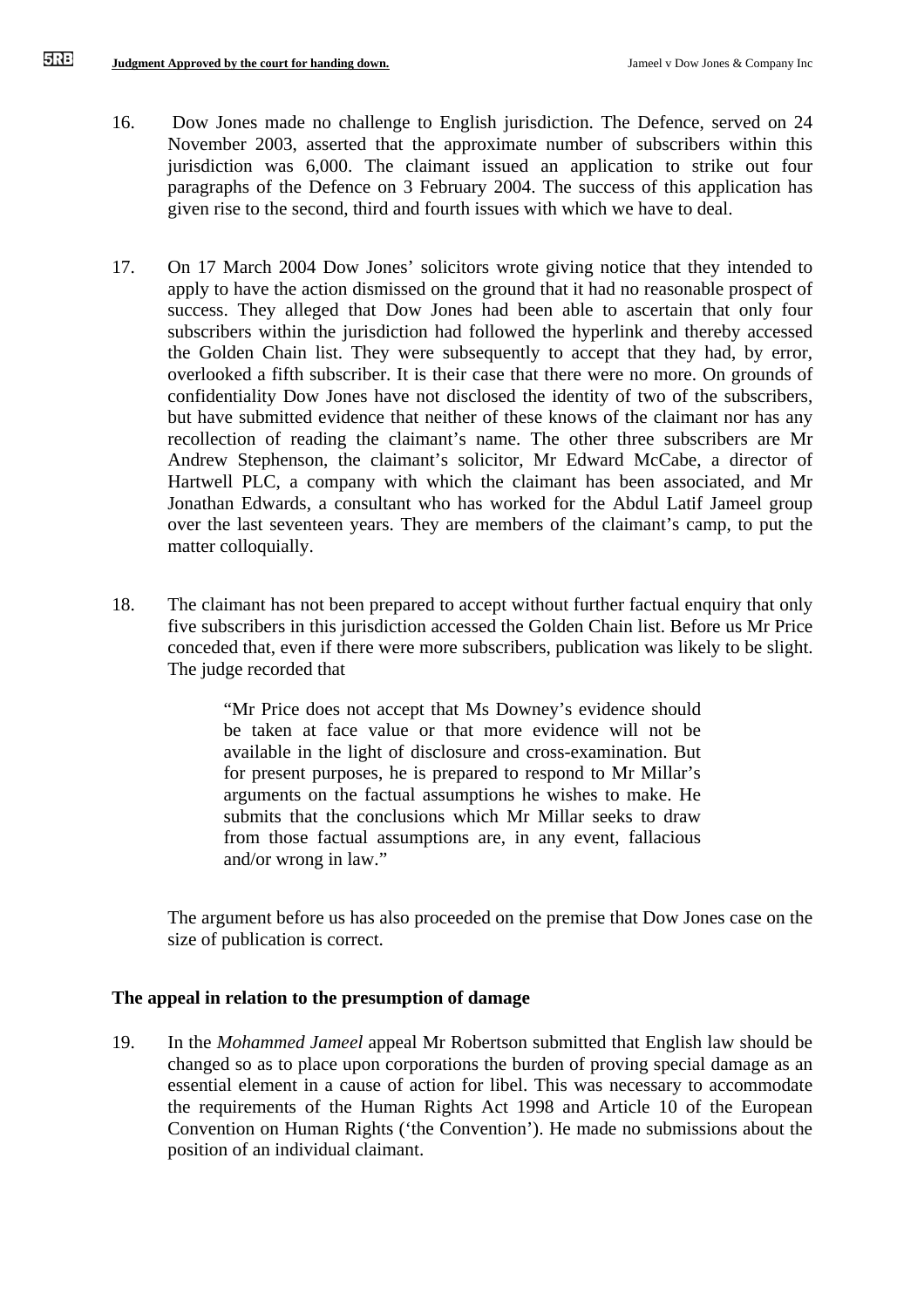- 16. Dow Jones made no challenge to English jurisdiction. The Defence, served on 24 November 2003, asserted that the approximate number of subscribers within this jurisdiction was 6,000. The claimant issued an application to strike out four paragraphs of the Defence on 3 February 2004. The success of this application has given rise to the second, third and fourth issues with which we have to deal.
- 17. On 17 March 2004 Dow Jones' solicitors wrote giving notice that they intended to apply to have the action dismissed on the ground that it had no reasonable prospect of success. They alleged that Dow Jones had been able to ascertain that only four subscribers within the jurisdiction had followed the hyperlink and thereby accessed the Golden Chain list. They were subsequently to accept that they had, by error, overlooked a fifth subscriber. It is their case that there were no more. On grounds of confidentiality Dow Jones have not disclosed the identity of two of the subscribers, but have submitted evidence that neither of these knows of the claimant nor has any recollection of reading the claimant's name. The other three subscribers are Mr Andrew Stephenson, the claimant's solicitor, Mr Edward McCabe, a director of Hartwell PLC, a company with which the claimant has been associated, and Mr Jonathan Edwards, a consultant who has worked for the Abdul Latif Jameel group over the last seventeen years. They are members of the claimant's camp, to put the matter colloquially.
- 18. The claimant has not been prepared to accept without further factual enquiry that only five subscribers in this jurisdiction accessed the Golden Chain list. Before us Mr Price conceded that, even if there were more subscribers, publication was likely to be slight. The judge recorded that

"Mr Price does not accept that Ms Downey's evidence should be taken at face value or that more evidence will not be available in the light of disclosure and cross-examination. But for present purposes, he is prepared to respond to Mr Millar's arguments on the factual assumptions he wishes to make. He submits that the conclusions which Mr Millar seeks to draw from those factual assumptions are, in any event, fallacious and/or wrong in law."

The argument before us has also proceeded on the premise that Dow Jones case on the size of publication is correct.

## **The appeal in relation to the presumption of damage**

19. In the *Mohammed Jameel* appeal Mr Robertson submitted that English law should be changed so as to place upon corporations the burden of proving special damage as an essential element in a cause of action for libel. This was necessary to accommodate the requirements of the Human Rights Act 1998 and Article 10 of the European Convention on Human Rights ('the Convention'). He made no submissions about the position of an individual claimant.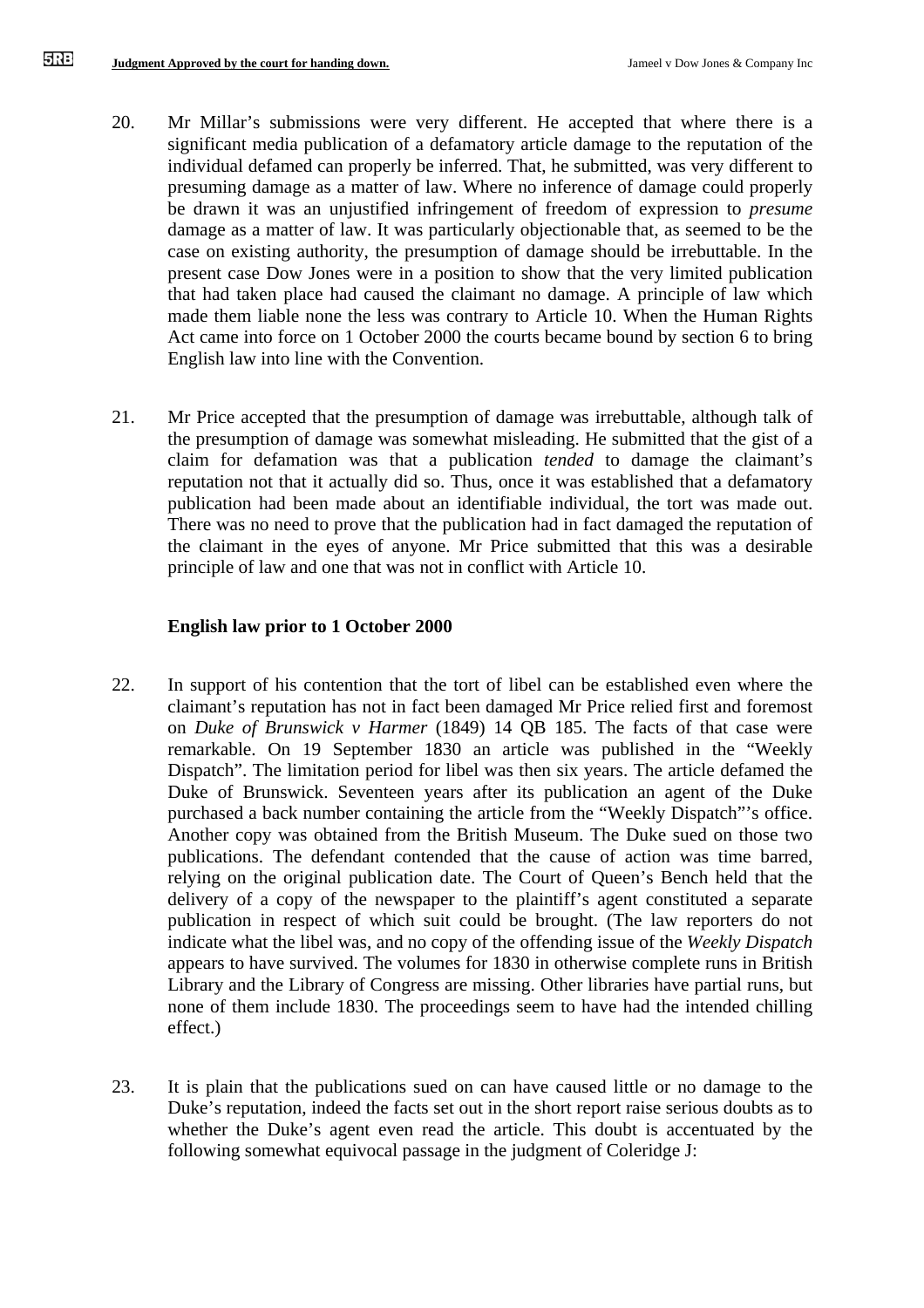- 20. Mr Millar's submissions were very different. He accepted that where there is a significant media publication of a defamatory article damage to the reputation of the individual defamed can properly be inferred. That, he submitted, was very different to presuming damage as a matter of law. Where no inference of damage could properly be drawn it was an unjustified infringement of freedom of expression to *presume*  damage as a matter of law. It was particularly objectionable that, as seemed to be the case on existing authority, the presumption of damage should be irrebuttable. In the present case Dow Jones were in a position to show that the very limited publication that had taken place had caused the claimant no damage. A principle of law which made them liable none the less was contrary to Article 10. When the Human Rights Act came into force on 1 October 2000 the courts became bound by section 6 to bring English law into line with the Convention.
- 21. Mr Price accepted that the presumption of damage was irrebuttable, although talk of the presumption of damage was somewhat misleading. He submitted that the gist of a claim for defamation was that a publication *tended* to damage the claimant's reputation not that it actually did so. Thus, once it was established that a defamatory publication had been made about an identifiable individual, the tort was made out. There was no need to prove that the publication had in fact damaged the reputation of the claimant in the eyes of anyone. Mr Price submitted that this was a desirable principle of law and one that was not in conflict with Article 10.

## **English law prior to 1 October 2000**

- 22. In support of his contention that the tort of libel can be established even where the claimant's reputation has not in fact been damaged Mr Price relied first and foremost on *Duke of Brunswick v Harmer* (1849) 14 QB 185. The facts of that case were remarkable. On 19 September 1830 an article was published in the "Weekly Dispatch". The limitation period for libel was then six years. The article defamed the Duke of Brunswick. Seventeen years after its publication an agent of the Duke purchased a back number containing the article from the "Weekly Dispatch"'s office. Another copy was obtained from the British Museum. The Duke sued on those two publications. The defendant contended that the cause of action was time barred, relying on the original publication date. The Court of Queen's Bench held that the delivery of a copy of the newspaper to the plaintiff's agent constituted a separate publication in respect of which suit could be brought. (The law reporters do not indicate what the libel was, and no copy of the offending issue of the *Weekly Dispatch* appears to have survived. The volumes for 1830 in otherwise complete runs in British Library and the Library of Congress are missing. Other libraries have partial runs, but none of them include 1830. The proceedings seem to have had the intended chilling effect.)
- 23. It is plain that the publications sued on can have caused little or no damage to the Duke's reputation, indeed the facts set out in the short report raise serious doubts as to whether the Duke's agent even read the article. This doubt is accentuated by the following somewhat equivocal passage in the judgment of Coleridge J: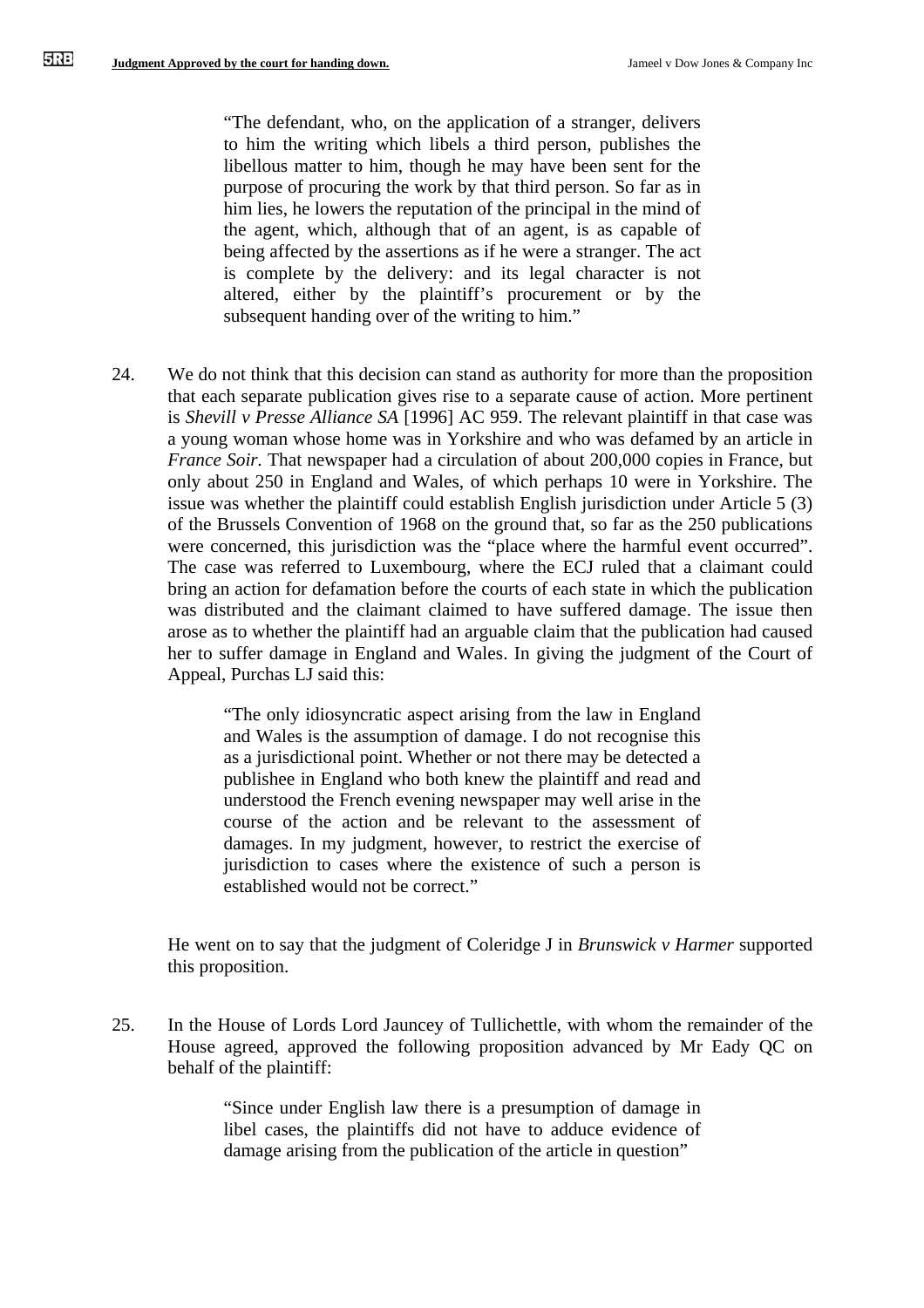"The defendant, who, on the application of a stranger, delivers to him the writing which libels a third person, publishes the libellous matter to him, though he may have been sent for the purpose of procuring the work by that third person. So far as in him lies, he lowers the reputation of the principal in the mind of the agent, which, although that of an agent, is as capable of being affected by the assertions as if he were a stranger. The act is complete by the delivery: and its legal character is not altered, either by the plaintiff's procurement or by the subsequent handing over of the writing to him."

24. We do not think that this decision can stand as authority for more than the proposition that each separate publication gives rise to a separate cause of action. More pertinent is *Shevill v Presse Alliance SA* [1996] AC 959. The relevant plaintiff in that case was a young woman whose home was in Yorkshire and who was defamed by an article in *France Soir.* That newspaper had a circulation of about 200,000 copies in France, but only about 250 in England and Wales, of which perhaps 10 were in Yorkshire. The issue was whether the plaintiff could establish English jurisdiction under Article 5 (3) of the Brussels Convention of 1968 on the ground that, so far as the 250 publications were concerned, this jurisdiction was the "place where the harmful event occurred". The case was referred to Luxembourg, where the ECJ ruled that a claimant could bring an action for defamation before the courts of each state in which the publication was distributed and the claimant claimed to have suffered damage. The issue then arose as to whether the plaintiff had an arguable claim that the publication had caused her to suffer damage in England and Wales. In giving the judgment of the Court of Appeal, Purchas LJ said this:

> "The only idiosyncratic aspect arising from the law in England and Wales is the assumption of damage. I do not recognise this as a jurisdictional point. Whether or not there may be detected a publishee in England who both knew the plaintiff and read and understood the French evening newspaper may well arise in the course of the action and be relevant to the assessment of damages. In my judgment, however, to restrict the exercise of jurisdiction to cases where the existence of such a person is established would not be correct."

He went on to say that the judgment of Coleridge J in *Brunswick v Harmer* supported this proposition.

25. In the House of Lords Lord Jauncey of Tullichettle, with whom the remainder of the House agreed, approved the following proposition advanced by Mr Eady QC on behalf of the plaintiff:

> "Since under English law there is a presumption of damage in libel cases, the plaintiffs did not have to adduce evidence of damage arising from the publication of the article in question"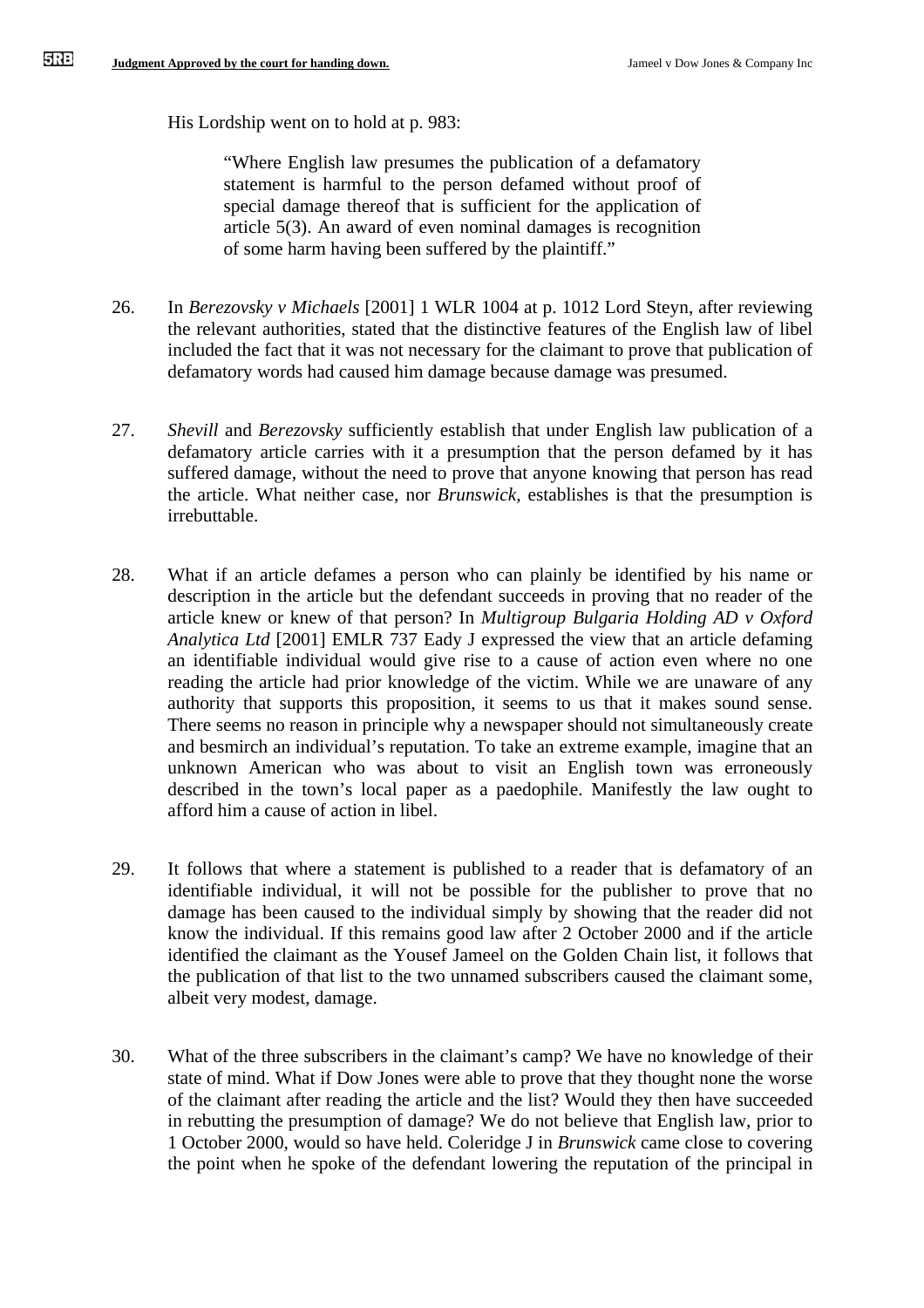His Lordship went on to hold at p. 983:

"Where English law presumes the publication of a defamatory statement is harmful to the person defamed without proof of special damage thereof that is sufficient for the application of article 5(3). An award of even nominal damages is recognition of some harm having been suffered by the plaintiff."

- 26. In *Berezovsky v Michaels* [2001] 1 WLR 1004 at p. 1012 Lord Steyn, after reviewing the relevant authorities, stated that the distinctive features of the English law of libel included the fact that it was not necessary for the claimant to prove that publication of defamatory words had caused him damage because damage was presumed.
- 27. *Shevill* and *Berezovsky* sufficiently establish that under English law publication of a defamatory article carries with it a presumption that the person defamed by it has suffered damage, without the need to prove that anyone knowing that person has read the article. What neither case, nor *Brunswick,* establishes is that the presumption is irrebuttable.
- 28. What if an article defames a person who can plainly be identified by his name or description in the article but the defendant succeeds in proving that no reader of the article knew or knew of that person? In *Multigroup Bulgaria Holding AD v Oxford Analytica Ltd* [2001] EMLR 737 Eady J expressed the view that an article defaming an identifiable individual would give rise to a cause of action even where no one reading the article had prior knowledge of the victim. While we are unaware of any authority that supports this proposition, it seems to us that it makes sound sense. There seems no reason in principle why a newspaper should not simultaneously create and besmirch an individual's reputation. To take an extreme example, imagine that an unknown American who was about to visit an English town was erroneously described in the town's local paper as a paedophile. Manifestly the law ought to afford him a cause of action in libel.
- 29. It follows that where a statement is published to a reader that is defamatory of an identifiable individual, it will not be possible for the publisher to prove that no damage has been caused to the individual simply by showing that the reader did not know the individual. If this remains good law after 2 October 2000 and if the article identified the claimant as the Yousef Jameel on the Golden Chain list, it follows that the publication of that list to the two unnamed subscribers caused the claimant some, albeit very modest, damage.
- 30. What of the three subscribers in the claimant's camp? We have no knowledge of their state of mind. What if Dow Jones were able to prove that they thought none the worse of the claimant after reading the article and the list? Would they then have succeeded in rebutting the presumption of damage? We do not believe that English law, prior to 1 October 2000, would so have held. Coleridge J in *Brunswick* came close to covering the point when he spoke of the defendant lowering the reputation of the principal in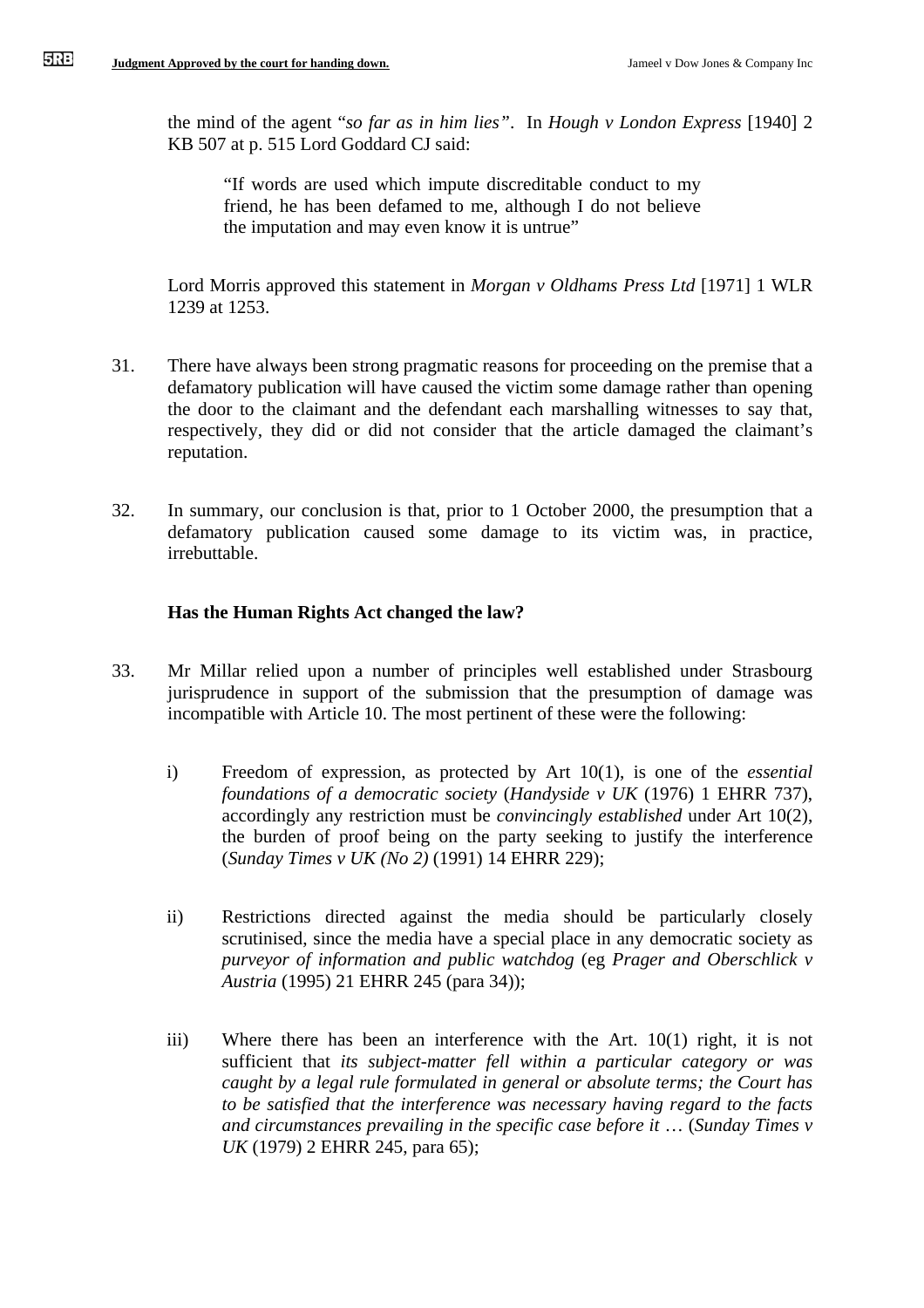the mind of the agent "*so far as in him lies"*. In *Hough v London Express* [1940] 2 KB 507 at p. 515 Lord Goddard CJ said:

"If words are used which impute discreditable conduct to my friend, he has been defamed to me, although I do not believe the imputation and may even know it is untrue"

Lord Morris approved this statement in *Morgan v Oldhams Press Ltd* [1971] 1 WLR 1239 at 1253.

- 31. There have always been strong pragmatic reasons for proceeding on the premise that a defamatory publication will have caused the victim some damage rather than opening the door to the claimant and the defendant each marshalling witnesses to say that, respectively, they did or did not consider that the article damaged the claimant's reputation.
- 32. In summary, our conclusion is that, prior to 1 October 2000, the presumption that a defamatory publication caused some damage to its victim was, in practice, irrebuttable.

### **Has the Human Rights Act changed the law?**

- 33. Mr Millar relied upon a number of principles well established under Strasbourg jurisprudence in support of the submission that the presumption of damage was incompatible with Article 10. The most pertinent of these were the following:
	- i) Freedom of expression, as protected by Art 10(1), is one of the *essential foundations of a democratic society* (*Handyside v UK* (1976) 1 EHRR 737), accordingly any restriction must be *convincingly established* under Art 10(2), the burden of proof being on the party seeking to justify the interference (*Sunday Times v UK (No 2)* (1991) 14 EHRR 229);
	- ii) Restrictions directed against the media should be particularly closely scrutinised, since the media have a special place in any democratic society as *purveyor of information and public watchdog* (eg *Prager and Oberschlick v Austria* (1995) 21 EHRR 245 (para 34));
	- iii) Where there has been an interference with the Art. 10(1) right, it is not sufficient that *its subject-matter fell within a particular category or was caught by a legal rule formulated in general or absolute terms; the Court has to be satisfied that the interference was necessary having regard to the facts and circumstances prevailing in the specific case before it* … (*Sunday Times v UK* (1979) 2 EHRR 245, para 65);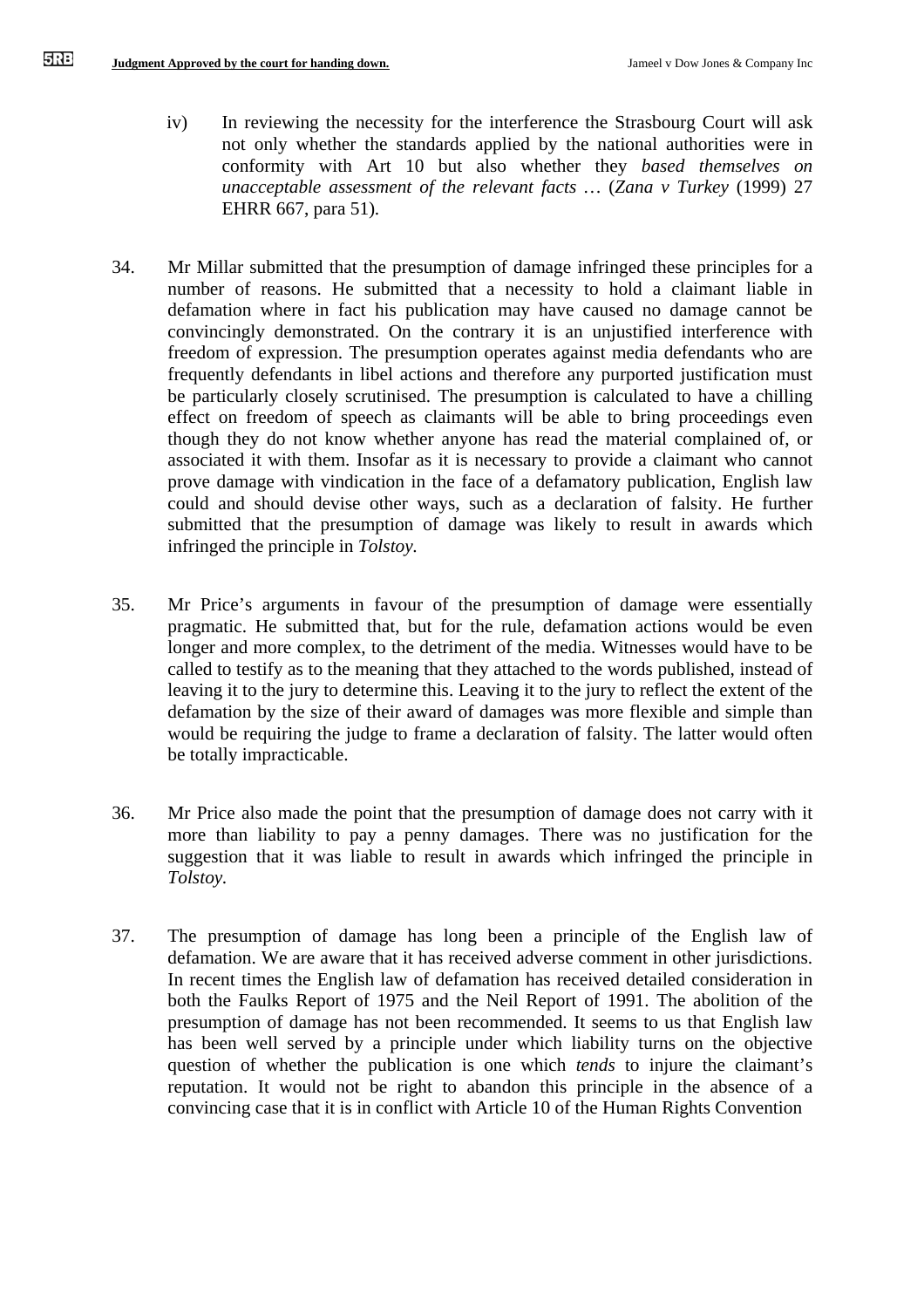- iv) In reviewing the necessity for the interference the Strasbourg Court will ask not only whether the standards applied by the national authorities were in conformity with Art 10 but also whether they *based themselves on unacceptable assessment of the relevant facts …* (*Zana v Turkey* (1999) 27 EHRR 667, para 51)*.*
- 34. Mr Millar submitted that the presumption of damage infringed these principles for a number of reasons. He submitted that a necessity to hold a claimant liable in defamation where in fact his publication may have caused no damage cannot be convincingly demonstrated. On the contrary it is an unjustified interference with freedom of expression. The presumption operates against media defendants who are frequently defendants in libel actions and therefore any purported justification must be particularly closely scrutinised. The presumption is calculated to have a chilling effect on freedom of speech as claimants will be able to bring proceedings even though they do not know whether anyone has read the material complained of, or associated it with them. Insofar as it is necessary to provide a claimant who cannot prove damage with vindication in the face of a defamatory publication, English law could and should devise other ways, such as a declaration of falsity. He further submitted that the presumption of damage was likely to result in awards which infringed the principle in *Tolstoy.*
- 35. Mr Price's arguments in favour of the presumption of damage were essentially pragmatic. He submitted that, but for the rule, defamation actions would be even longer and more complex, to the detriment of the media. Witnesses would have to be called to testify as to the meaning that they attached to the words published, instead of leaving it to the jury to determine this. Leaving it to the jury to reflect the extent of the defamation by the size of their award of damages was more flexible and simple than would be requiring the judge to frame a declaration of falsity. The latter would often be totally impracticable.
- 36. Mr Price also made the point that the presumption of damage does not carry with it more than liability to pay a penny damages. There was no justification for the suggestion that it was liable to result in awards which infringed the principle in *Tolstoy.*
- 37. The presumption of damage has long been a principle of the English law of defamation. We are aware that it has received adverse comment in other jurisdictions. In recent times the English law of defamation has received detailed consideration in both the Faulks Report of 1975 and the Neil Report of 1991. The abolition of the presumption of damage has not been recommended. It seems to us that English law has been well served by a principle under which liability turns on the objective question of whether the publication is one which *tends* to injure the claimant's reputation. It would not be right to abandon this principle in the absence of a convincing case that it is in conflict with Article 10 of the Human Rights Convention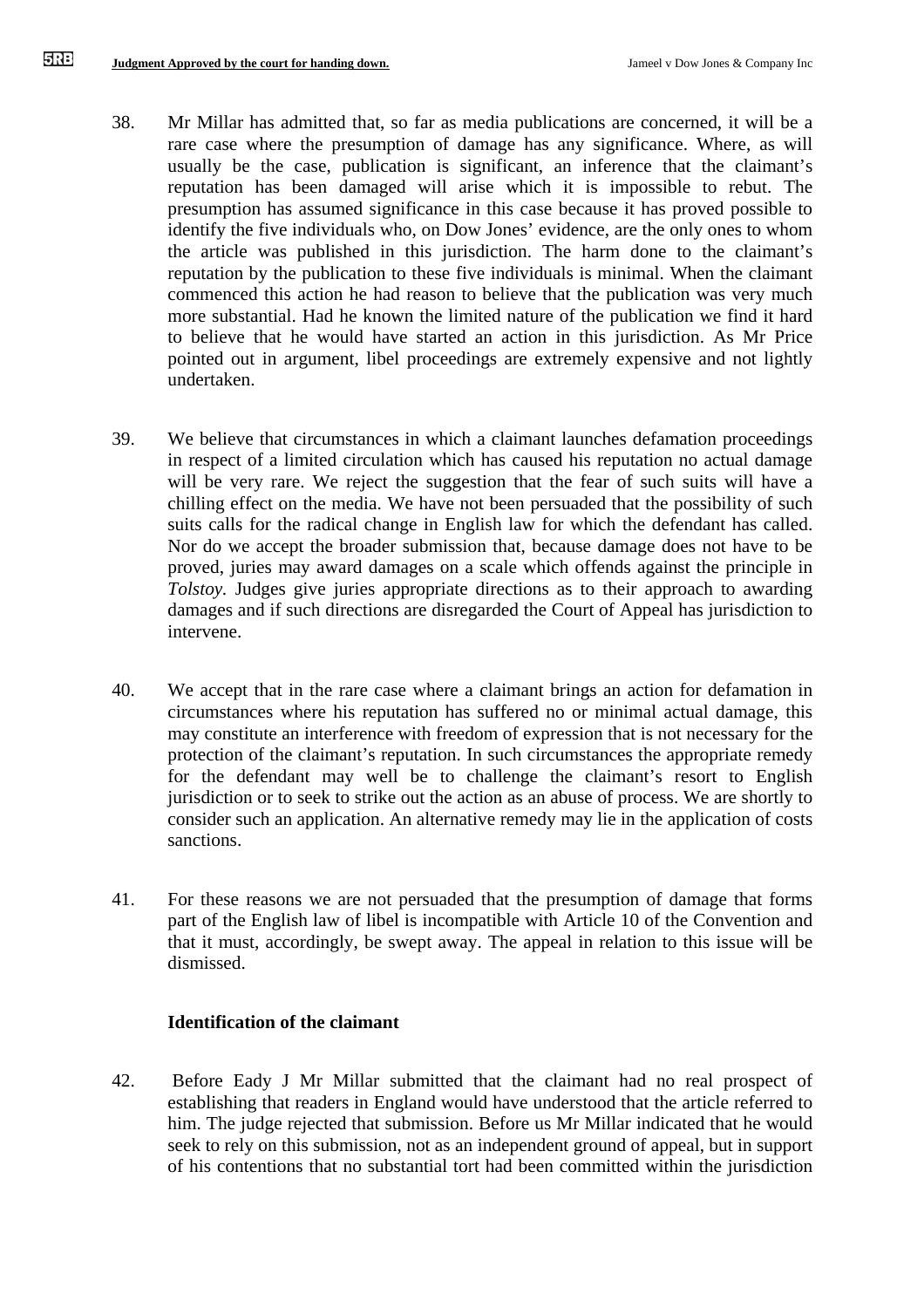- 38. Mr Millar has admitted that, so far as media publications are concerned, it will be a rare case where the presumption of damage has any significance. Where, as will usually be the case, publication is significant, an inference that the claimant's reputation has been damaged will arise which it is impossible to rebut. The presumption has assumed significance in this case because it has proved possible to identify the five individuals who, on Dow Jones' evidence, are the only ones to whom the article was published in this jurisdiction. The harm done to the claimant's reputation by the publication to these five individuals is minimal. When the claimant commenced this action he had reason to believe that the publication was very much more substantial. Had he known the limited nature of the publication we find it hard to believe that he would have started an action in this jurisdiction. As Mr Price pointed out in argument, libel proceedings are extremely expensive and not lightly undertaken.
- 39. We believe that circumstances in which a claimant launches defamation proceedings in respect of a limited circulation which has caused his reputation no actual damage will be very rare. We reject the suggestion that the fear of such suits will have a chilling effect on the media. We have not been persuaded that the possibility of such suits calls for the radical change in English law for which the defendant has called. Nor do we accept the broader submission that, because damage does not have to be proved, juries may award damages on a scale which offends against the principle in *Tolstoy.* Judges give juries appropriate directions as to their approach to awarding damages and if such directions are disregarded the Court of Appeal has jurisdiction to intervene.
- 40. We accept that in the rare case where a claimant brings an action for defamation in circumstances where his reputation has suffered no or minimal actual damage, this may constitute an interference with freedom of expression that is not necessary for the protection of the claimant's reputation. In such circumstances the appropriate remedy for the defendant may well be to challenge the claimant's resort to English jurisdiction or to seek to strike out the action as an abuse of process. We are shortly to consider such an application. An alternative remedy may lie in the application of costs sanctions.
- 41. For these reasons we are not persuaded that the presumption of damage that forms part of the English law of libel is incompatible with Article 10 of the Convention and that it must, accordingly, be swept away. The appeal in relation to this issue will be dismissed.

#### **Identification of the claimant**

42. Before Eady J Mr Millar submitted that the claimant had no real prospect of establishing that readers in England would have understood that the article referred to him. The judge rejected that submission. Before us Mr Millar indicated that he would seek to rely on this submission, not as an independent ground of appeal, but in support of his contentions that no substantial tort had been committed within the jurisdiction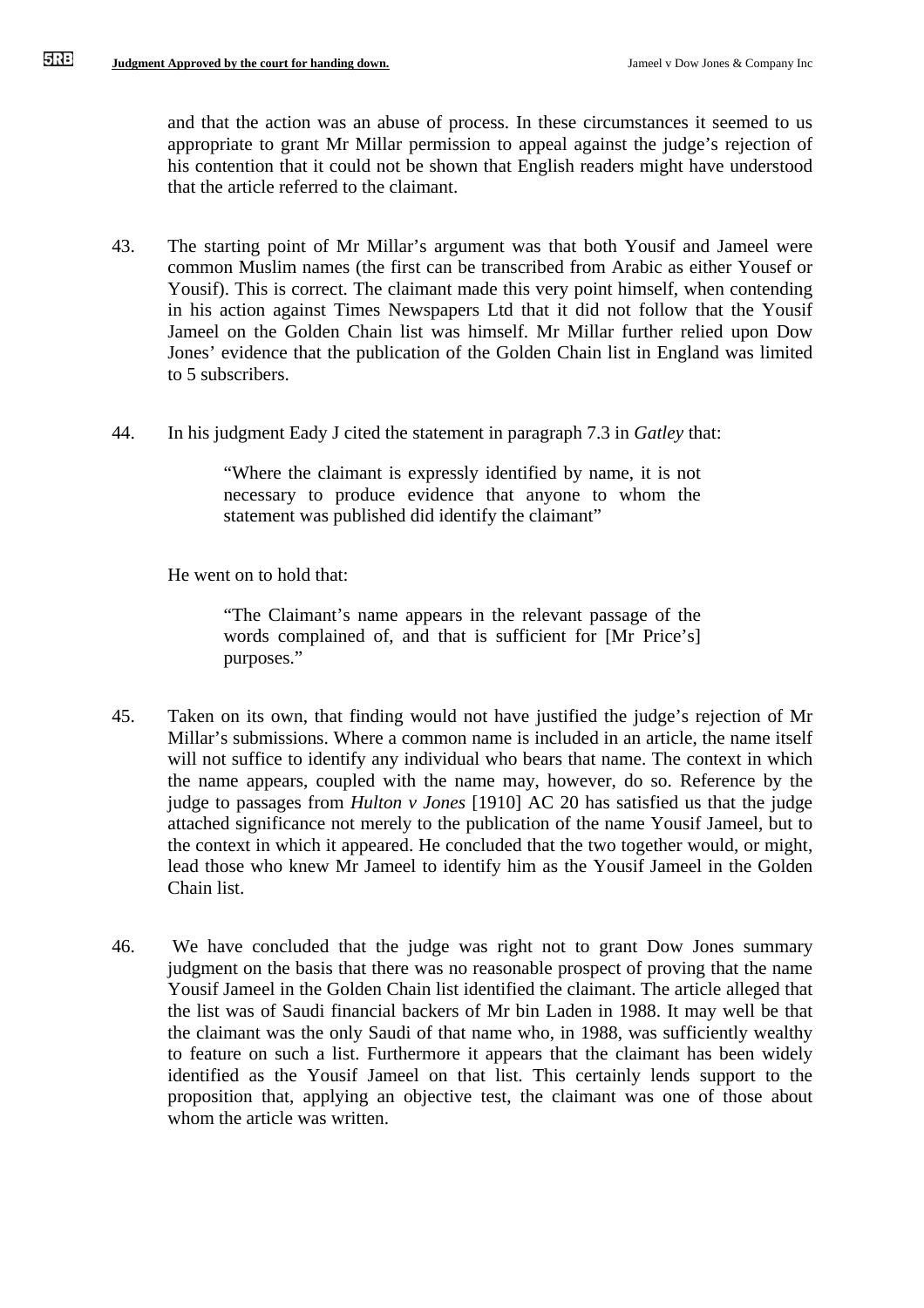and that the action was an abuse of process. In these circumstances it seemed to us appropriate to grant Mr Millar permission to appeal against the judge's rejection of his contention that it could not be shown that English readers might have understood that the article referred to the claimant.

- 43. The starting point of Mr Millar's argument was that both Yousif and Jameel were common Muslim names (the first can be transcribed from Arabic as either Yousef or Yousif). This is correct. The claimant made this very point himself, when contending in his action against Times Newspapers Ltd that it did not follow that the Yousif Jameel on the Golden Chain list was himself. Mr Millar further relied upon Dow Jones' evidence that the publication of the Golden Chain list in England was limited to 5 subscribers.
- 44. In his judgment Eady J cited the statement in paragraph 7.3 in *Gatley* that:

"Where the claimant is expressly identified by name, it is not necessary to produce evidence that anyone to whom the statement was published did identify the claimant"

He went on to hold that:

"The Claimant's name appears in the relevant passage of the words complained of, and that is sufficient for [Mr Price's] purposes."

- 45. Taken on its own, that finding would not have justified the judge's rejection of Mr Millar's submissions. Where a common name is included in an article, the name itself will not suffice to identify any individual who bears that name. The context in which the name appears, coupled with the name may, however, do so. Reference by the judge to passages from *Hulton v Jones* [1910] AC 20 has satisfied us that the judge attached significance not merely to the publication of the name Yousif Jameel, but to the context in which it appeared. He concluded that the two together would, or might, lead those who knew Mr Jameel to identify him as the Yousif Jameel in the Golden Chain list.
- 46. We have concluded that the judge was right not to grant Dow Jones summary judgment on the basis that there was no reasonable prospect of proving that the name Yousif Jameel in the Golden Chain list identified the claimant. The article alleged that the list was of Saudi financial backers of Mr bin Laden in 1988. It may well be that the claimant was the only Saudi of that name who, in 1988, was sufficiently wealthy to feature on such a list. Furthermore it appears that the claimant has been widely identified as the Yousif Jameel on that list. This certainly lends support to the proposition that, applying an objective test, the claimant was one of those about whom the article was written.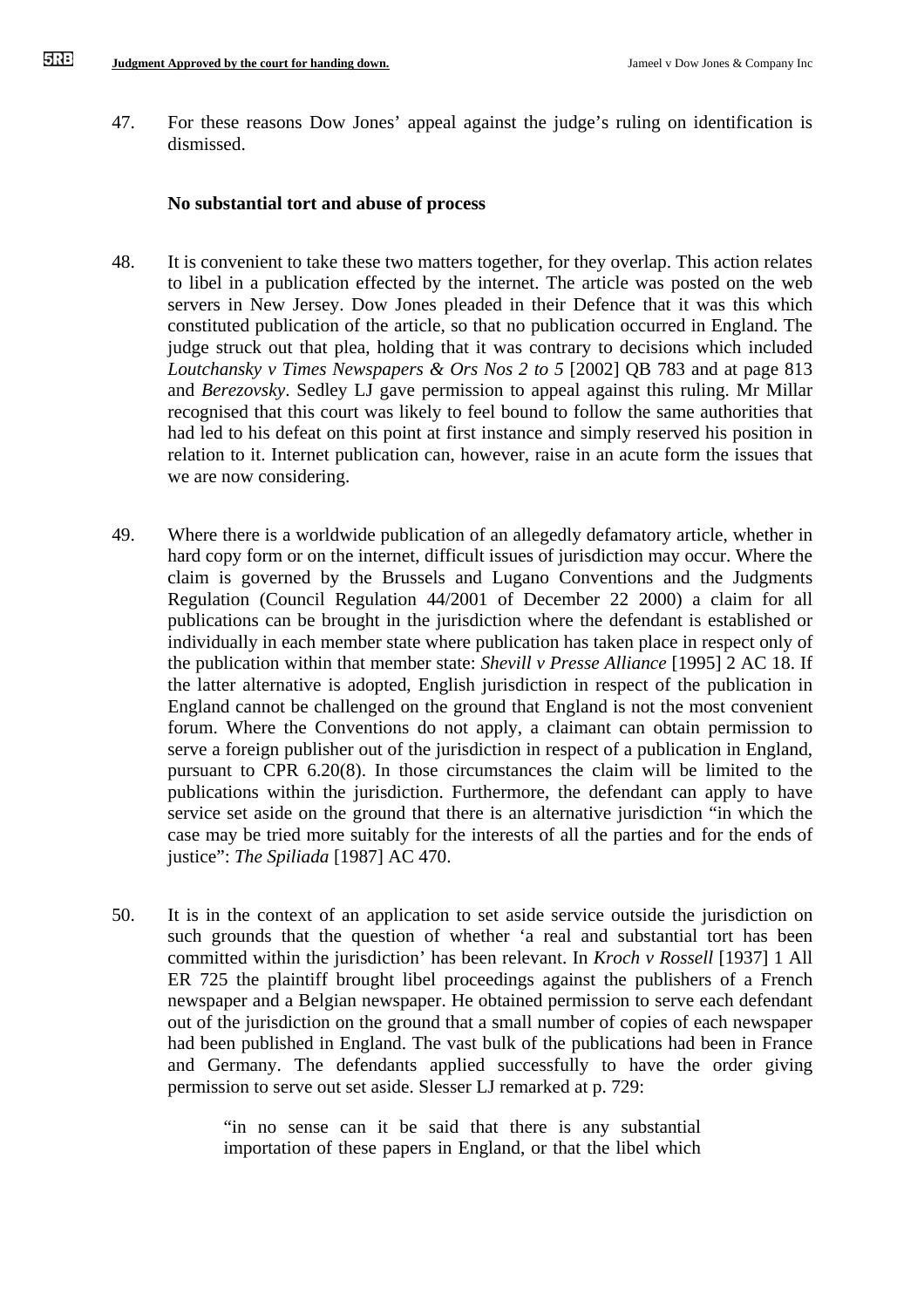47. For these reasons Dow Jones' appeal against the judge's ruling on identification is dismissed.

### **No substantial tort and abuse of process**

- 48. It is convenient to take these two matters together, for they overlap. This action relates to libel in a publication effected by the internet. The article was posted on the web servers in New Jersey. Dow Jones pleaded in their Defence that it was this which constituted publication of the article, so that no publication occurred in England. The judge struck out that plea, holding that it was contrary to decisions which included *Loutchansky v Times Newspapers & Ors Nos 2 to 5* [2002] QB 783 and at page 813 and *Berezovsky*. Sedley LJ gave permission to appeal against this ruling. Mr Millar recognised that this court was likely to feel bound to follow the same authorities that had led to his defeat on this point at first instance and simply reserved his position in relation to it. Internet publication can, however, raise in an acute form the issues that we are now considering.
- 49. Where there is a worldwide publication of an allegedly defamatory article, whether in hard copy form or on the internet, difficult issues of jurisdiction may occur. Where the claim is governed by the Brussels and Lugano Conventions and the Judgments Regulation (Council Regulation 44/2001 of December 22 2000) a claim for all publications can be brought in the jurisdiction where the defendant is established or individually in each member state where publication has taken place in respect only of the publication within that member state: *Shevill v Presse Alliance* [1995] 2 AC 18. If the latter alternative is adopted, English jurisdiction in respect of the publication in England cannot be challenged on the ground that England is not the most convenient forum. Where the Conventions do not apply, a claimant can obtain permission to serve a foreign publisher out of the jurisdiction in respect of a publication in England, pursuant to CPR 6.20(8). In those circumstances the claim will be limited to the publications within the jurisdiction. Furthermore, the defendant can apply to have service set aside on the ground that there is an alternative jurisdiction "in which the case may be tried more suitably for the interests of all the parties and for the ends of justice": *The Spiliada* [1987] AC 470.
- 50. It is in the context of an application to set aside service outside the jurisdiction on such grounds that the question of whether 'a real and substantial tort has been committed within the jurisdiction' has been relevant. In *Kroch v Rossell* [1937] 1 All ER 725 the plaintiff brought libel proceedings against the publishers of a French newspaper and a Belgian newspaper. He obtained permission to serve each defendant out of the jurisdiction on the ground that a small number of copies of each newspaper had been published in England. The vast bulk of the publications had been in France and Germany. The defendants applied successfully to have the order giving permission to serve out set aside. Slesser LJ remarked at p. 729:

"in no sense can it be said that there is any substantial importation of these papers in England, or that the libel which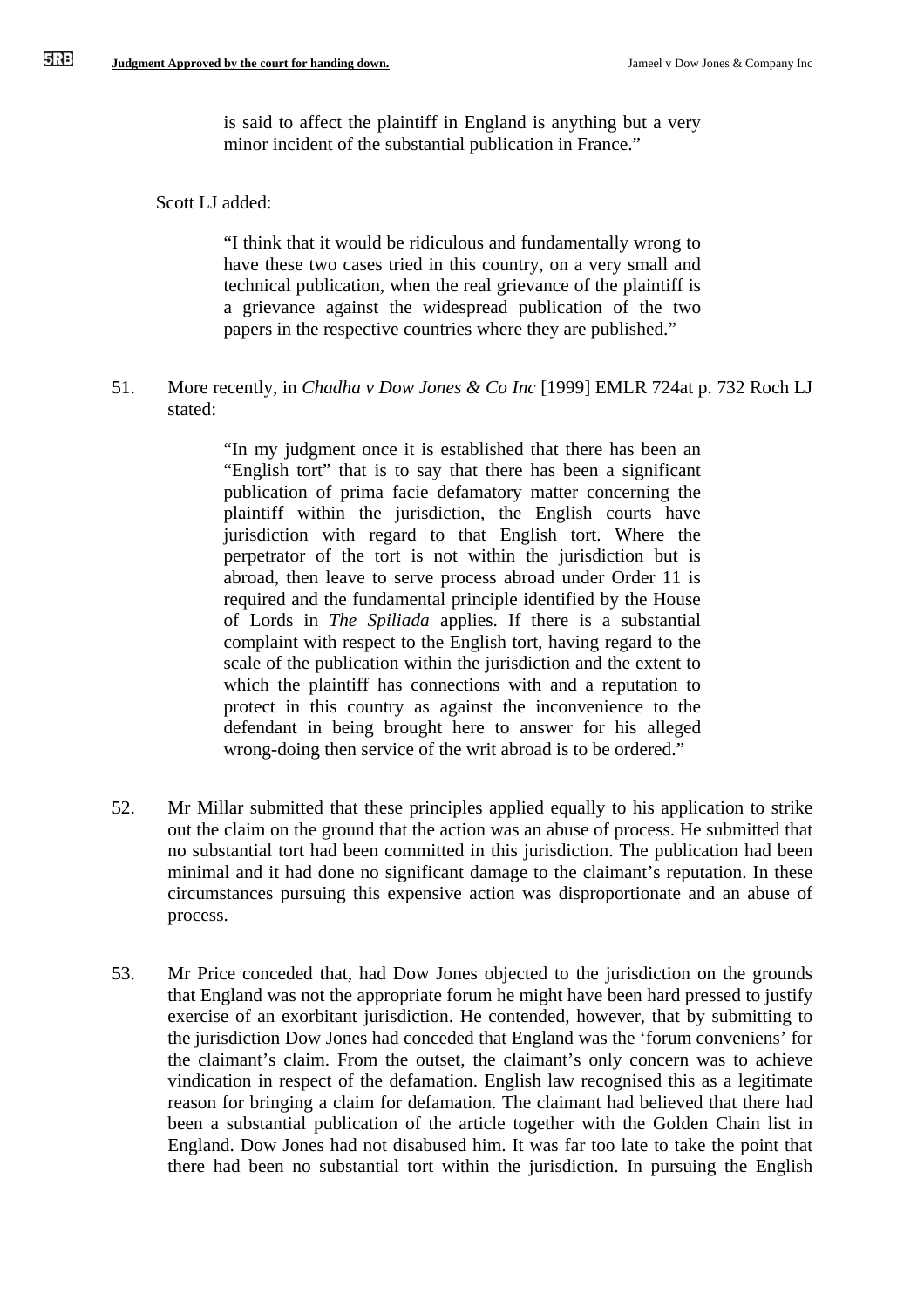is said to affect the plaintiff in England is anything but a very minor incident of the substantial publication in France."

### Scott LJ added:

"I think that it would be ridiculous and fundamentally wrong to have these two cases tried in this country, on a very small and technical publication, when the real grievance of the plaintiff is a grievance against the widespread publication of the two papers in the respective countries where they are published."

51. More recently, in *Chadha v Dow Jones & Co Inc* [1999] EMLR 724at p. 732 Roch LJ stated:

> "In my judgment once it is established that there has been an "English tort" that is to say that there has been a significant publication of prima facie defamatory matter concerning the plaintiff within the jurisdiction, the English courts have jurisdiction with regard to that English tort. Where the perpetrator of the tort is not within the jurisdiction but is abroad, then leave to serve process abroad under Order 11 is required and the fundamental principle identified by the House of Lords in *The Spiliada* applies. If there is a substantial complaint with respect to the English tort, having regard to the scale of the publication within the jurisdiction and the extent to which the plaintiff has connections with and a reputation to protect in this country as against the inconvenience to the defendant in being brought here to answer for his alleged wrong-doing then service of the writ abroad is to be ordered."

- 52. Mr Millar submitted that these principles applied equally to his application to strike out the claim on the ground that the action was an abuse of process. He submitted that no substantial tort had been committed in this jurisdiction. The publication had been minimal and it had done no significant damage to the claimant's reputation. In these circumstances pursuing this expensive action was disproportionate and an abuse of process.
- 53. Mr Price conceded that, had Dow Jones objected to the jurisdiction on the grounds that England was not the appropriate forum he might have been hard pressed to justify exercise of an exorbitant jurisdiction. He contended, however, that by submitting to the jurisdiction Dow Jones had conceded that England was the 'forum conveniens' for the claimant's claim. From the outset, the claimant's only concern was to achieve vindication in respect of the defamation. English law recognised this as a legitimate reason for bringing a claim for defamation. The claimant had believed that there had been a substantial publication of the article together with the Golden Chain list in England. Dow Jones had not disabused him. It was far too late to take the point that there had been no substantial tort within the jurisdiction. In pursuing the English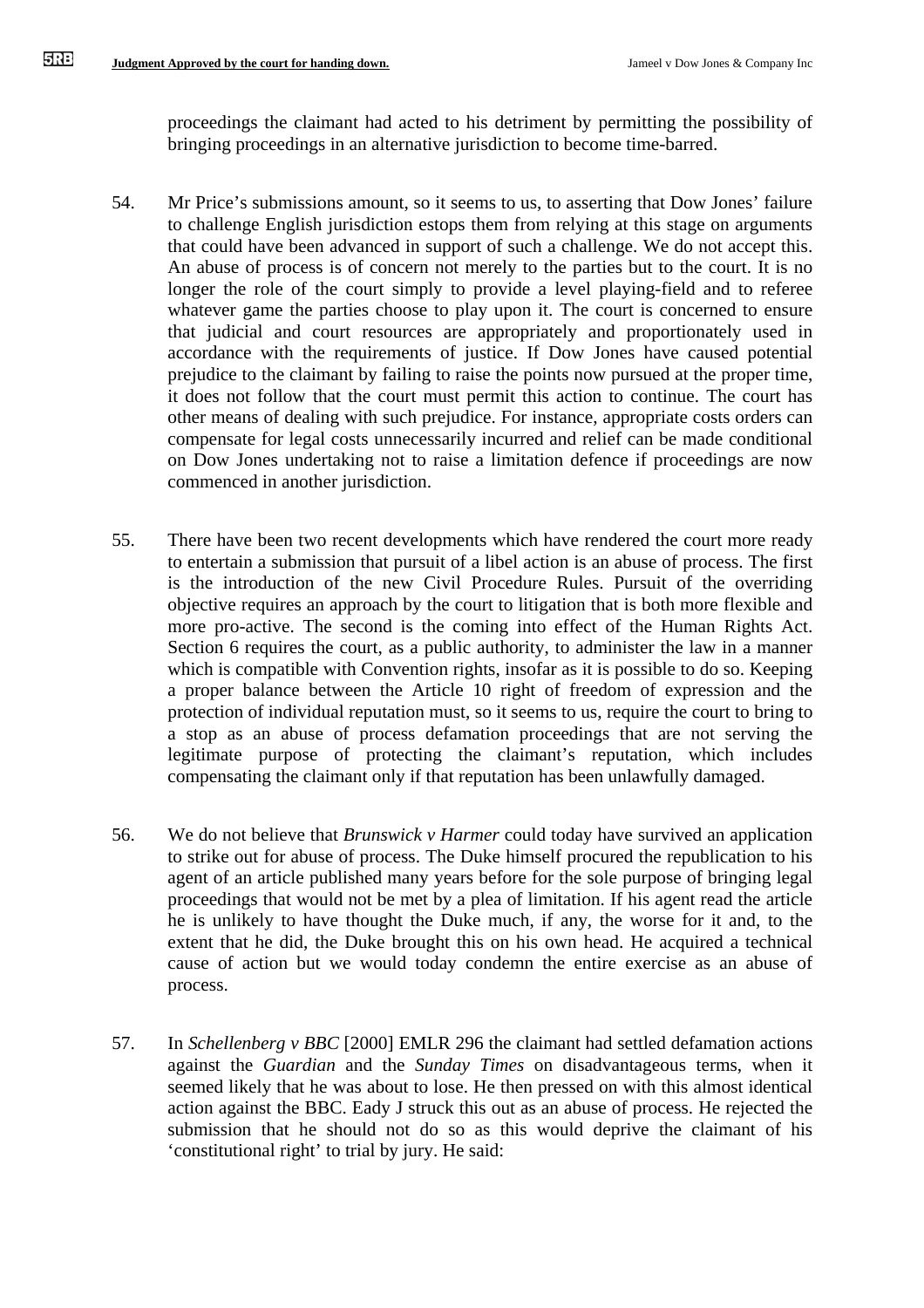proceedings the claimant had acted to his detriment by permitting the possibility of bringing proceedings in an alternative jurisdiction to become time-barred.

- 54. Mr Price's submissions amount, so it seems to us, to asserting that Dow Jones' failure to challenge English jurisdiction estops them from relying at this stage on arguments that could have been advanced in support of such a challenge. We do not accept this. An abuse of process is of concern not merely to the parties but to the court. It is no longer the role of the court simply to provide a level playing-field and to referee whatever game the parties choose to play upon it. The court is concerned to ensure that judicial and court resources are appropriately and proportionately used in accordance with the requirements of justice. If Dow Jones have caused potential prejudice to the claimant by failing to raise the points now pursued at the proper time, it does not follow that the court must permit this action to continue. The court has other means of dealing with such prejudice. For instance, appropriate costs orders can compensate for legal costs unnecessarily incurred and relief can be made conditional on Dow Jones undertaking not to raise a limitation defence if proceedings are now commenced in another jurisdiction.
- 55. There have been two recent developments which have rendered the court more ready to entertain a submission that pursuit of a libel action is an abuse of process. The first is the introduction of the new Civil Procedure Rules. Pursuit of the overriding objective requires an approach by the court to litigation that is both more flexible and more pro-active. The second is the coming into effect of the Human Rights Act. Section 6 requires the court, as a public authority, to administer the law in a manner which is compatible with Convention rights, insofar as it is possible to do so. Keeping a proper balance between the Article 10 right of freedom of expression and the protection of individual reputation must, so it seems to us, require the court to bring to a stop as an abuse of process defamation proceedings that are not serving the legitimate purpose of protecting the claimant's reputation, which includes compensating the claimant only if that reputation has been unlawfully damaged.
- 56. We do not believe that *Brunswick v Harmer* could today have survived an application to strike out for abuse of process. The Duke himself procured the republication to his agent of an article published many years before for the sole purpose of bringing legal proceedings that would not be met by a plea of limitation. If his agent read the article he is unlikely to have thought the Duke much, if any, the worse for it and, to the extent that he did, the Duke brought this on his own head. He acquired a technical cause of action but we would today condemn the entire exercise as an abuse of process.
- 57. In *Schellenberg v BBC* [2000] EMLR 296 the claimant had settled defamation actions against the *Guardian* and the *Sunday Times* on disadvantageous terms, when it seemed likely that he was about to lose. He then pressed on with this almost identical action against the BBC. Eady J struck this out as an abuse of process. He rejected the submission that he should not do so as this would deprive the claimant of his 'constitutional right' to trial by jury. He said: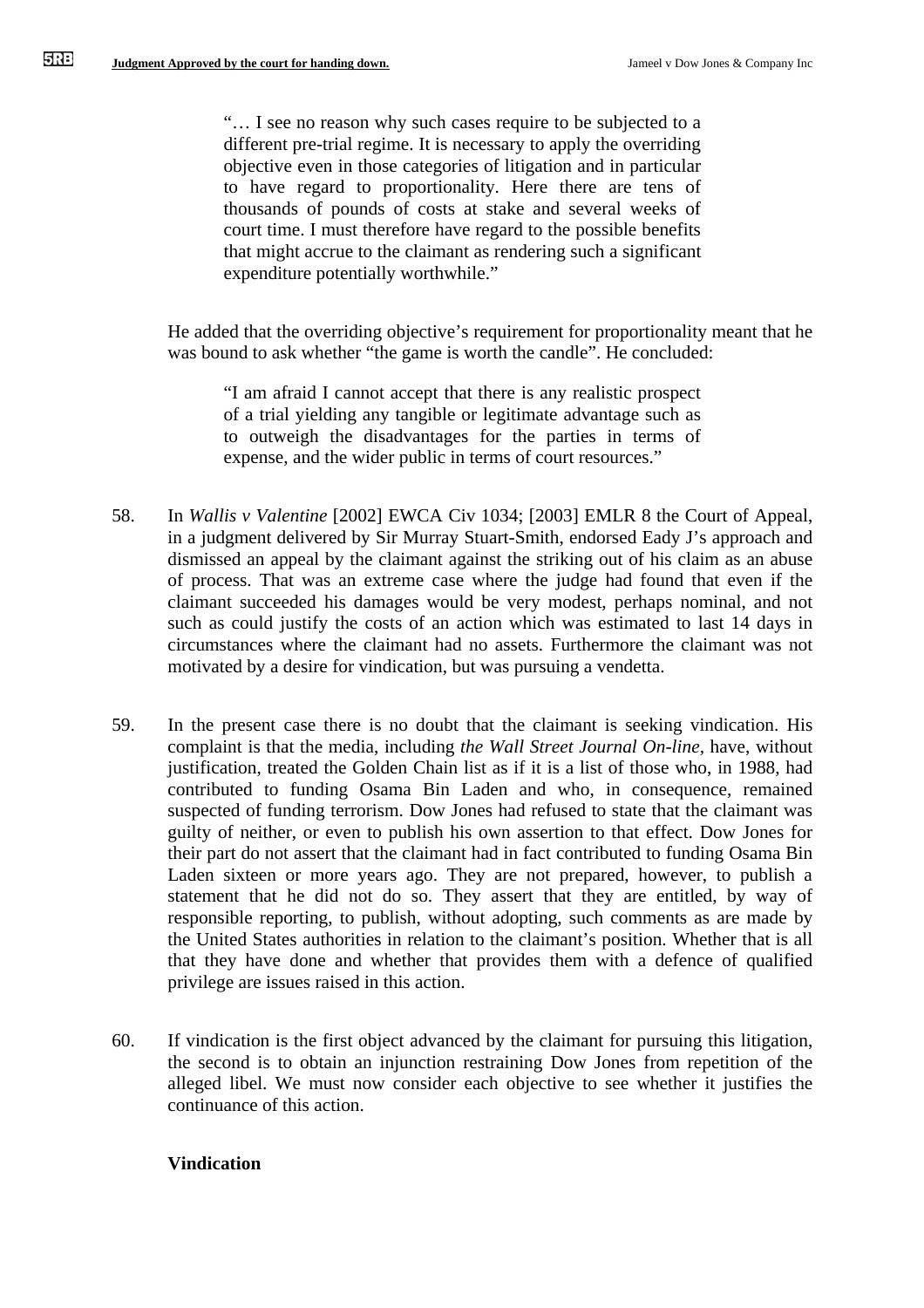"… I see no reason why such cases require to be subjected to a different pre-trial regime. It is necessary to apply the overriding objective even in those categories of litigation and in particular to have regard to proportionality. Here there are tens of thousands of pounds of costs at stake and several weeks of court time. I must therefore have regard to the possible benefits that might accrue to the claimant as rendering such a significant expenditure potentially worthwhile."

He added that the overriding objective's requirement for proportionality meant that he was bound to ask whether "the game is worth the candle". He concluded:

"I am afraid I cannot accept that there is any realistic prospect of a trial yielding any tangible or legitimate advantage such as to outweigh the disadvantages for the parties in terms of expense, and the wider public in terms of court resources."

- 58. In *Wallis v Valentine* [2002] EWCA Civ 1034; [2003] EMLR 8 the Court of Appeal, in a judgment delivered by Sir Murray Stuart-Smith, endorsed Eady J's approach and dismissed an appeal by the claimant against the striking out of his claim as an abuse of process. That was an extreme case where the judge had found that even if the claimant succeeded his damages would be very modest, perhaps nominal, and not such as could justify the costs of an action which was estimated to last 14 days in circumstances where the claimant had no assets. Furthermore the claimant was not motivated by a desire for vindication, but was pursuing a vendetta.
- 59. In the present case there is no doubt that the claimant is seeking vindication. His complaint is that the media, including *the Wall Street Journal On-line,* have, without justification, treated the Golden Chain list as if it is a list of those who, in 1988, had contributed to funding Osama Bin Laden and who, in consequence, remained suspected of funding terrorism. Dow Jones had refused to state that the claimant was guilty of neither, or even to publish his own assertion to that effect. Dow Jones for their part do not assert that the claimant had in fact contributed to funding Osama Bin Laden sixteen or more years ago. They are not prepared, however, to publish a statement that he did not do so. They assert that they are entitled, by way of responsible reporting, to publish, without adopting, such comments as are made by the United States authorities in relation to the claimant's position. Whether that is all that they have done and whether that provides them with a defence of qualified privilege are issues raised in this action.
- 60. If vindication is the first object advanced by the claimant for pursuing this litigation, the second is to obtain an injunction restraining Dow Jones from repetition of the alleged libel. We must now consider each objective to see whether it justifies the continuance of this action.

## **Vindication**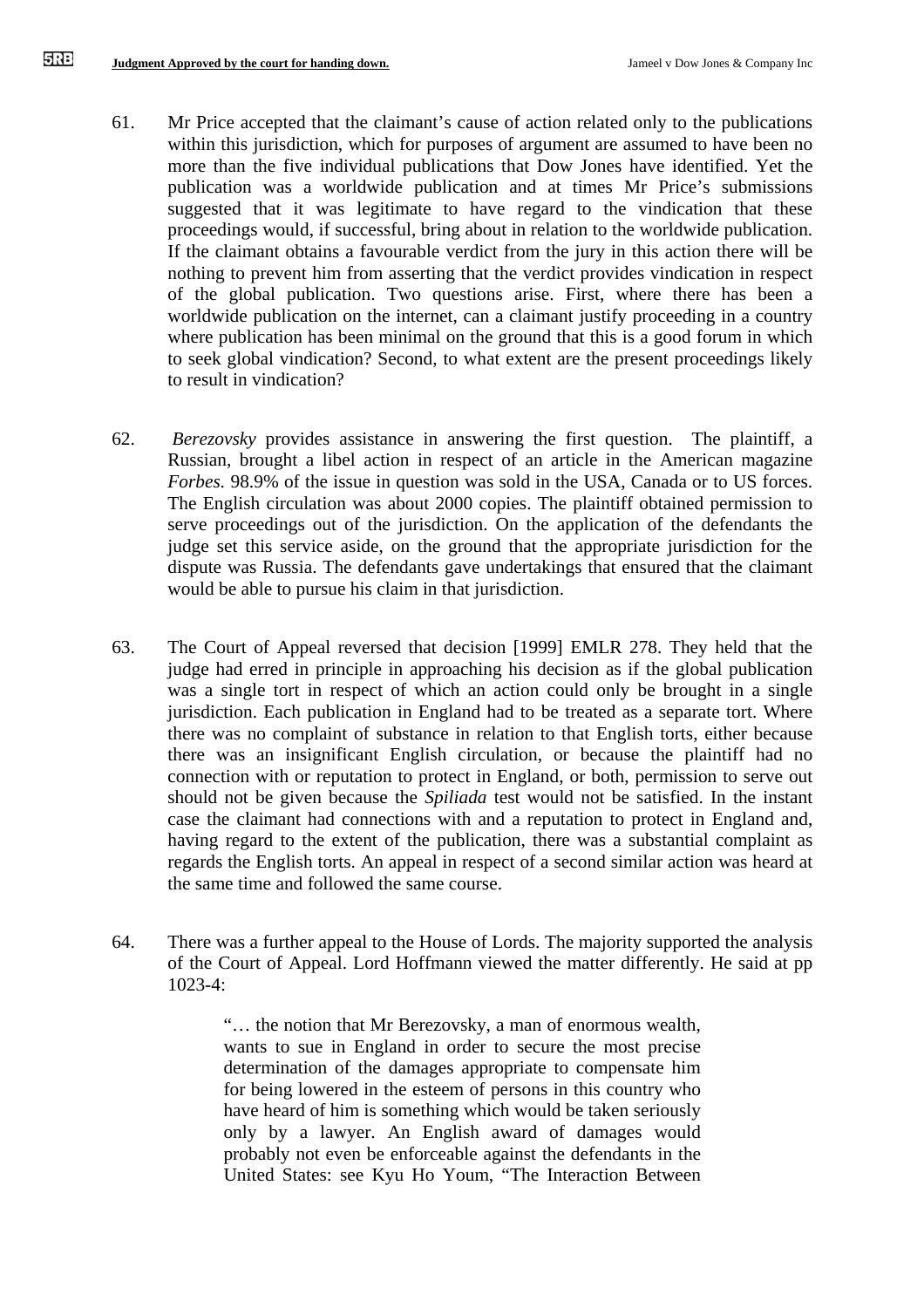- 61. Mr Price accepted that the claimant's cause of action related only to the publications within this jurisdiction, which for purposes of argument are assumed to have been no more than the five individual publications that Dow Jones have identified. Yet the publication was a worldwide publication and at times Mr Price's submissions suggested that it was legitimate to have regard to the vindication that these proceedings would, if successful, bring about in relation to the worldwide publication. If the claimant obtains a favourable verdict from the jury in this action there will be nothing to prevent him from asserting that the verdict provides vindication in respect of the global publication. Two questions arise. First, where there has been a worldwide publication on the internet, can a claimant justify proceeding in a country where publication has been minimal on the ground that this is a good forum in which to seek global vindication? Second, to what extent are the present proceedings likely to result in vindication?
- 62. *Berezovsky* provides assistance in answering the first question. The plaintiff, a Russian, brought a libel action in respect of an article in the American magazine *Forbes.* 98.9% of the issue in question was sold in the USA, Canada or to US forces. The English circulation was about 2000 copies. The plaintiff obtained permission to serve proceedings out of the jurisdiction. On the application of the defendants the judge set this service aside, on the ground that the appropriate jurisdiction for the dispute was Russia. The defendants gave undertakings that ensured that the claimant would be able to pursue his claim in that jurisdiction.
- 63. The Court of Appeal reversed that decision [1999] EMLR 278. They held that the judge had erred in principle in approaching his decision as if the global publication was a single tort in respect of which an action could only be brought in a single jurisdiction. Each publication in England had to be treated as a separate tort. Where there was no complaint of substance in relation to that English torts, either because there was an insignificant English circulation, or because the plaintiff had no connection with or reputation to protect in England, or both, permission to serve out should not be given because the *Spiliada* test would not be satisfied. In the instant case the claimant had connections with and a reputation to protect in England and, having regard to the extent of the publication, there was a substantial complaint as regards the English torts. An appeal in respect of a second similar action was heard at the same time and followed the same course.
- 64. There was a further appeal to the House of Lords. The majority supported the analysis of the Court of Appeal. Lord Hoffmann viewed the matter differently. He said at pp 1023-4:

"… the notion that Mr Berezovsky, a man of enormous wealth, wants to sue in England in order to secure the most precise determination of the damages appropriate to compensate him for being lowered in the esteem of persons in this country who have heard of him is something which would be taken seriously only by a lawyer. An English award of damages would probably not even be enforceable against the defendants in the United States: see Kyu Ho Youm, "The Interaction Between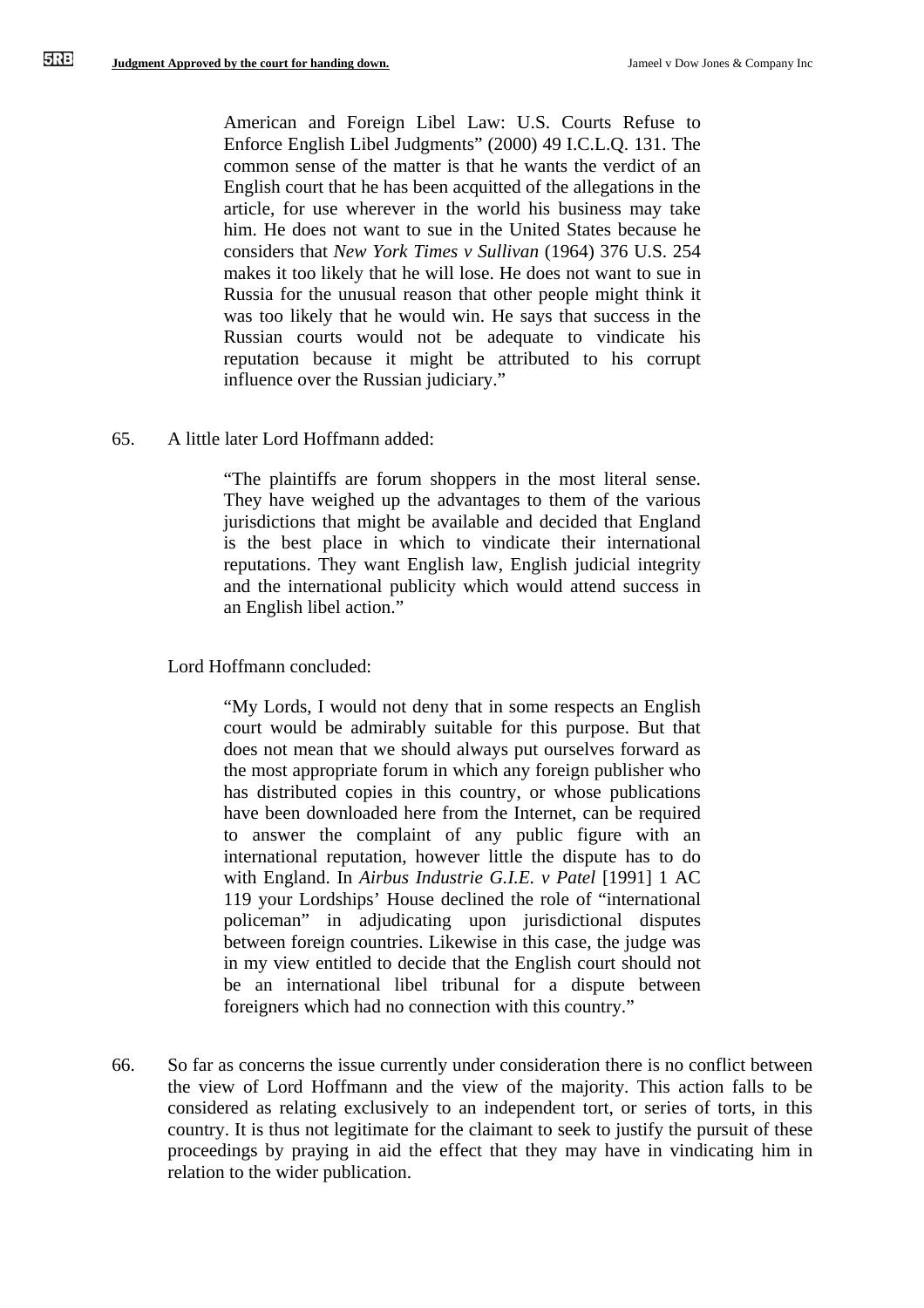American and Foreign Libel Law: U.S. Courts Refuse to Enforce English Libel Judgments" (2000) 49 I.C.L.Q. 131. The common sense of the matter is that he wants the verdict of an English court that he has been acquitted of the allegations in the article, for use wherever in the world his business may take him. He does not want to sue in the United States because he considers that *New York Times v Sullivan* (1964) 376 U.S. 254 makes it too likely that he will lose. He does not want to sue in Russia for the unusual reason that other people might think it was too likely that he would win. He says that success in the Russian courts would not be adequate to vindicate his reputation because it might be attributed to his corrupt influence over the Russian judiciary."

65. A little later Lord Hoffmann added:

"The plaintiffs are forum shoppers in the most literal sense. They have weighed up the advantages to them of the various jurisdictions that might be available and decided that England is the best place in which to vindicate their international reputations. They want English law, English judicial integrity and the international publicity which would attend success in an English libel action."

Lord Hoffmann concluded:

"My Lords, I would not deny that in some respects an English court would be admirably suitable for this purpose. But that does not mean that we should always put ourselves forward as the most appropriate forum in which any foreign publisher who has distributed copies in this country, or whose publications have been downloaded here from the Internet, can be required to answer the complaint of any public figure with an international reputation, however little the dispute has to do with England. In *Airbus Industrie G.I.E. v Patel* [1991] 1 AC 119 your Lordships' House declined the role of "international policeman" in adjudicating upon jurisdictional disputes between foreign countries. Likewise in this case, the judge was in my view entitled to decide that the English court should not be an international libel tribunal for a dispute between foreigners which had no connection with this country."

66. So far as concerns the issue currently under consideration there is no conflict between the view of Lord Hoffmann and the view of the majority. This action falls to be considered as relating exclusively to an independent tort, or series of torts, in this country. It is thus not legitimate for the claimant to seek to justify the pursuit of these proceedings by praying in aid the effect that they may have in vindicating him in relation to the wider publication.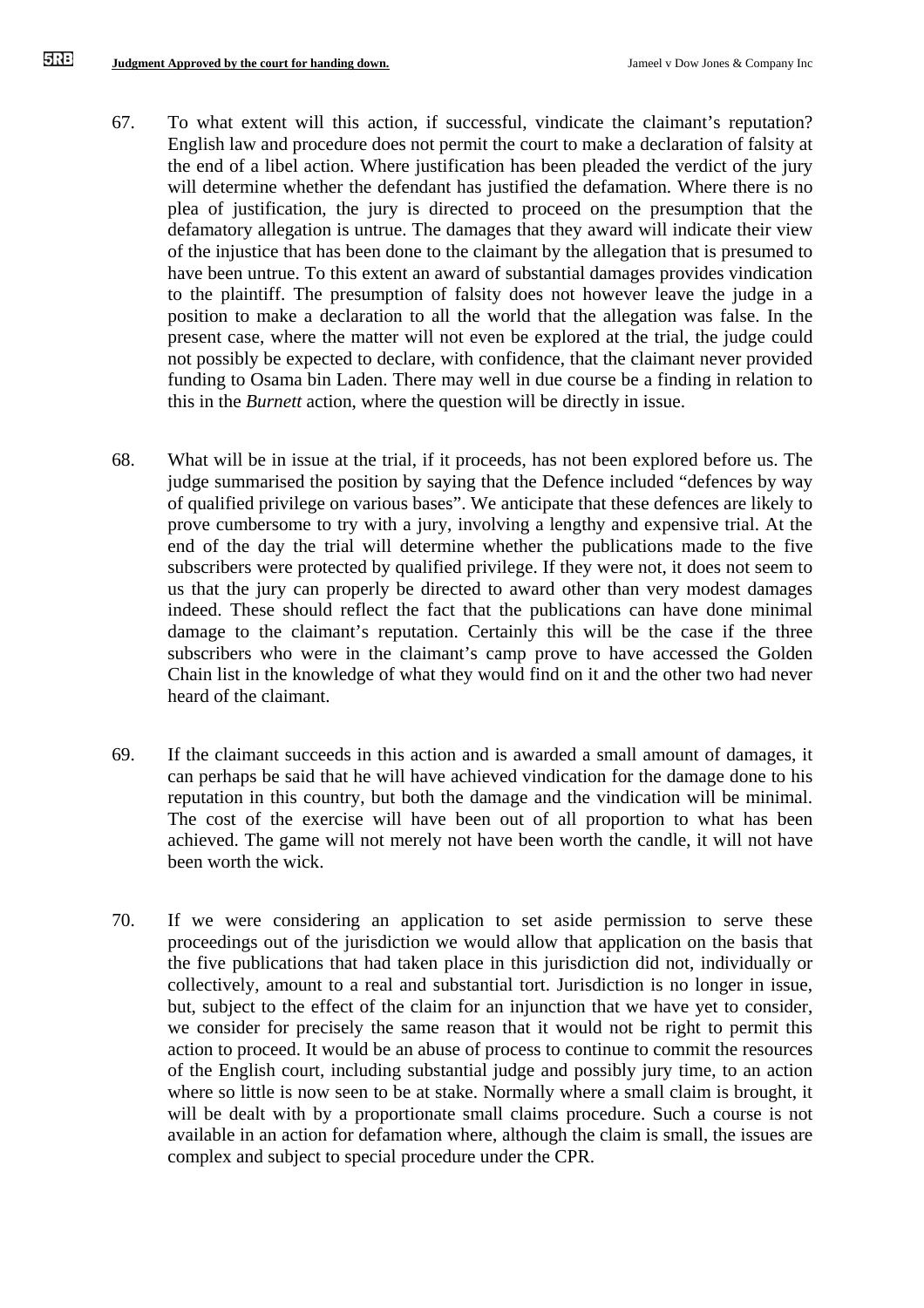- 67. To what extent will this action, if successful, vindicate the claimant's reputation? English law and procedure does not permit the court to make a declaration of falsity at the end of a libel action. Where justification has been pleaded the verdict of the jury will determine whether the defendant has justified the defamation. Where there is no plea of justification, the jury is directed to proceed on the presumption that the defamatory allegation is untrue. The damages that they award will indicate their view of the injustice that has been done to the claimant by the allegation that is presumed to have been untrue. To this extent an award of substantial damages provides vindication to the plaintiff. The presumption of falsity does not however leave the judge in a position to make a declaration to all the world that the allegation was false. In the present case, where the matter will not even be explored at the trial, the judge could not possibly be expected to declare, with confidence, that the claimant never provided funding to Osama bin Laden. There may well in due course be a finding in relation to this in the *Burnett* action, where the question will be directly in issue.
- 68. What will be in issue at the trial, if it proceeds, has not been explored before us. The judge summarised the position by saying that the Defence included "defences by way of qualified privilege on various bases". We anticipate that these defences are likely to prove cumbersome to try with a jury, involving a lengthy and expensive trial. At the end of the day the trial will determine whether the publications made to the five subscribers were protected by qualified privilege. If they were not, it does not seem to us that the jury can properly be directed to award other than very modest damages indeed. These should reflect the fact that the publications can have done minimal damage to the claimant's reputation. Certainly this will be the case if the three subscribers who were in the claimant's camp prove to have accessed the Golden Chain list in the knowledge of what they would find on it and the other two had never heard of the claimant.
- 69. If the claimant succeeds in this action and is awarded a small amount of damages, it can perhaps be said that he will have achieved vindication for the damage done to his reputation in this country, but both the damage and the vindication will be minimal. The cost of the exercise will have been out of all proportion to what has been achieved. The game will not merely not have been worth the candle, it will not have been worth the wick.
- 70. If we were considering an application to set aside permission to serve these proceedings out of the jurisdiction we would allow that application on the basis that the five publications that had taken place in this jurisdiction did not, individually or collectively, amount to a real and substantial tort. Jurisdiction is no longer in issue, but, subject to the effect of the claim for an injunction that we have yet to consider, we consider for precisely the same reason that it would not be right to permit this action to proceed. It would be an abuse of process to continue to commit the resources of the English court, including substantial judge and possibly jury time, to an action where so little is now seen to be at stake. Normally where a small claim is brought, it will be dealt with by a proportionate small claims procedure. Such a course is not available in an action for defamation where, although the claim is small, the issues are complex and subject to special procedure under the CPR.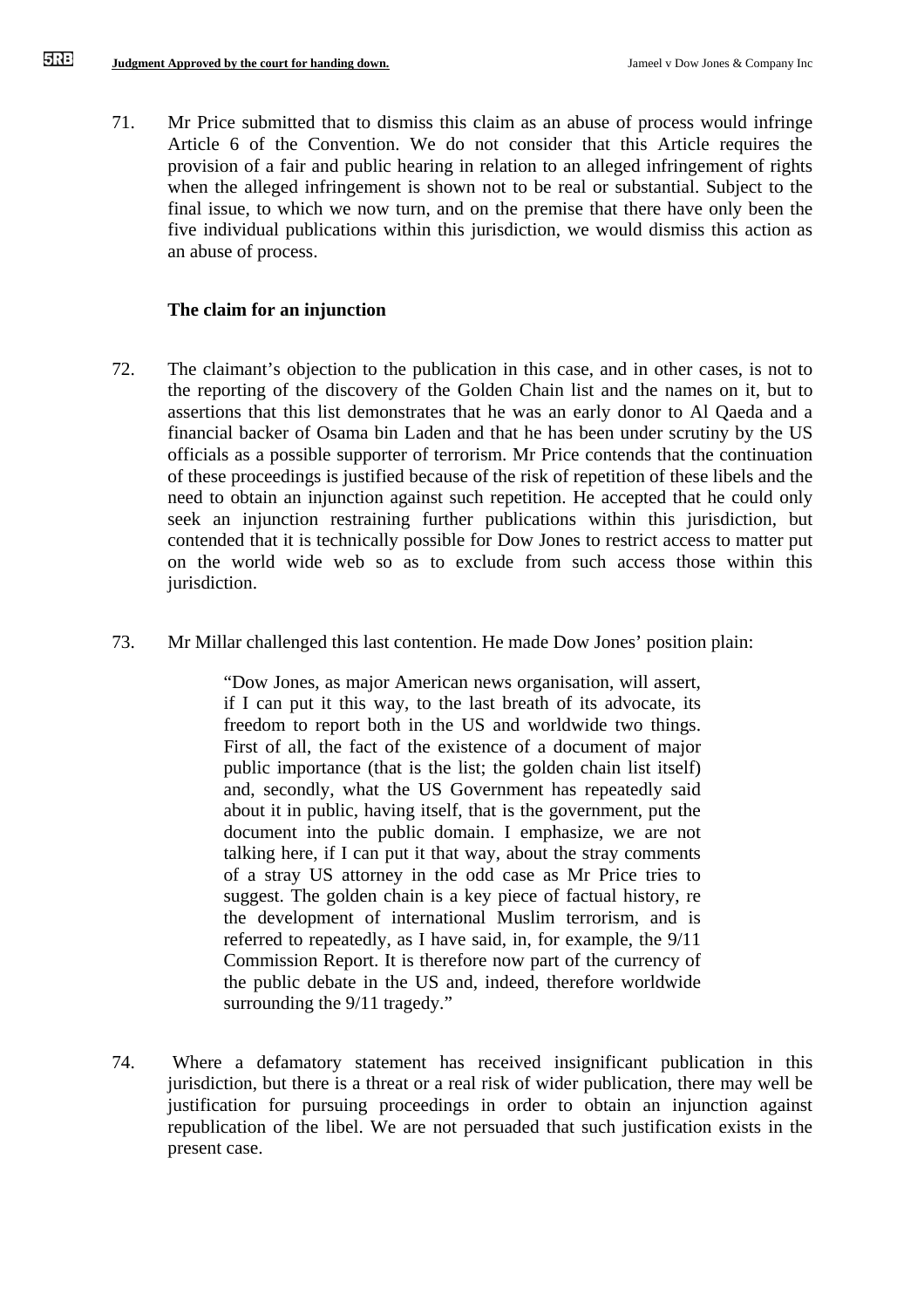71. Mr Price submitted that to dismiss this claim as an abuse of process would infringe Article 6 of the Convention. We do not consider that this Article requires the provision of a fair and public hearing in relation to an alleged infringement of rights when the alleged infringement is shown not to be real or substantial. Subject to the final issue, to which we now turn, and on the premise that there have only been the five individual publications within this jurisdiction, we would dismiss this action as an abuse of process.

## **The claim for an injunction**

- 72. The claimant's objection to the publication in this case, and in other cases, is not to the reporting of the discovery of the Golden Chain list and the names on it, but to assertions that this list demonstrates that he was an early donor to Al Qaeda and a financial backer of Osama bin Laden and that he has been under scrutiny by the US officials as a possible supporter of terrorism. Mr Price contends that the continuation of these proceedings is justified because of the risk of repetition of these libels and the need to obtain an injunction against such repetition. He accepted that he could only seek an injunction restraining further publications within this jurisdiction, but contended that it is technically possible for Dow Jones to restrict access to matter put on the world wide web so as to exclude from such access those within this jurisdiction.
- 73. Mr Millar challenged this last contention. He made Dow Jones' position plain:

"Dow Jones, as major American news organisation, will assert, if I can put it this way, to the last breath of its advocate, its freedom to report both in the US and worldwide two things. First of all, the fact of the existence of a document of major public importance (that is the list; the golden chain list itself) and, secondly, what the US Government has repeatedly said about it in public, having itself, that is the government, put the document into the public domain. I emphasize, we are not talking here, if I can put it that way, about the stray comments of a stray US attorney in the odd case as Mr Price tries to suggest. The golden chain is a key piece of factual history, re the development of international Muslim terrorism, and is referred to repeatedly, as I have said, in, for example, the 9/11 Commission Report. It is therefore now part of the currency of the public debate in the US and, indeed, therefore worldwide surrounding the  $9/11$  tragedy."

74. Where a defamatory statement has received insignificant publication in this jurisdiction, but there is a threat or a real risk of wider publication, there may well be justification for pursuing proceedings in order to obtain an injunction against republication of the libel. We are not persuaded that such justification exists in the present case.